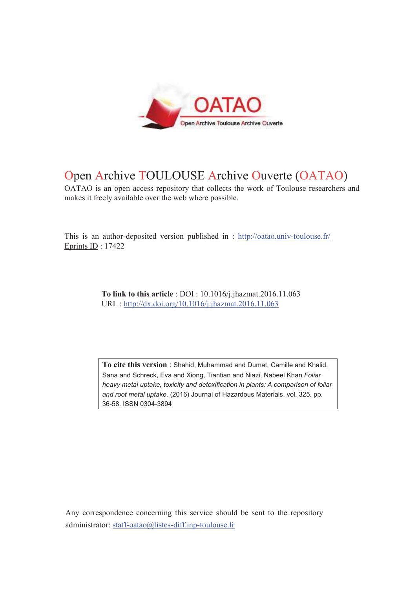

# Open Archive TOULOUSE Archive Ouverte (OATAO)

OATAO is an open access repository that collects the work of Toulouse researchers and makes it freely available over the web where possible.

This is an author-deposited version published in : http://oatao.univ-toulouse.fr/ Eprints ID : 17422

> **To link to this article** : DOI : 10.1016/j.jhazmat.2016.11.063 URL : http://dx.doi.org/10.1016/j.jhazmat.2016.11.063

**To cite this version** : Shahid, Muhammad and Dumat, Camille and Khalid, Sana and Schreck, Eva and Xiong, Tiantian and Niazi, Nabeel Khan *Foliar heavy metal uptake, toxicity and detoxification in plants: A comparison of foliar and root metal uptake.* (2016) Journal of Hazardous Materials, vol. 325. pp. 36-58. ISSN 0304-3894

Any correspondence concerning this service should be sent to the repository administrator: staff-oatao@listes-diff.inp-toulouse.fr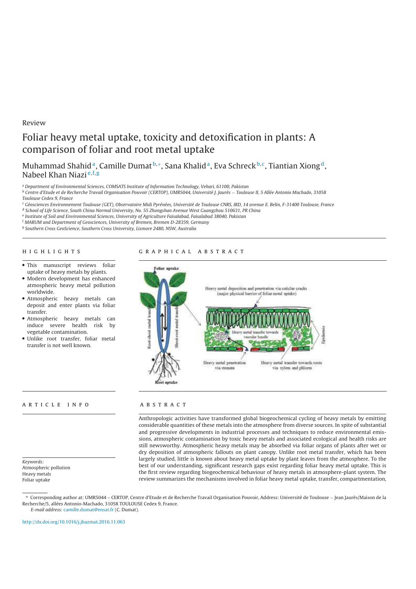# Review

# Foliar heavy metal uptake, toxicity and detoxification in plants: A comparison of foliar and root metal uptake

Muhammad Shahida, Camille Dumat<sup>b,</sup>\*, Sana Khalida, Eva Schreck<sup>b,c</sup>, Tiantian Xiong<sup>d</sup>, Nabeel Khan Niazi <sup>e</sup>,f,<sup>g</sup>

a Department of Environmental Sciences, COMSATS Institute of Information Technology, Vehari, 61100, Pakistan

<sup>b</sup> Centre d'Etude et de Recherche Travail Organisation Pouvoir (CERTOP), UMR5044, Université J. Jaurès − Toulouse II, 5 Allée Antonio Machado, 31058 Toulouse Cedex 9, France

<sup>c</sup> Géosciences Environnement Toulouse (GET), Observatoire Midi Pyrénées, Université de Toulouse CNRS, IRD, 14 avenue E. Belin, F-31400 Toulouse, France

<sup>d</sup> School of Life Science, South China Normal University, No. 55 Zhongshan Avenue West Guangzhou 510631, PR China

<sup>e</sup> Institute of Soil and Environmental Sciences, University of Agriculture Faisalabad, Faisalabad 38040, Pakistan

<sup>f</sup> MARUM and Department of Geosciences, University of Bremen, Bremen D-28359, Germany

<sup>g</sup> Southern Cross GeoScience, Southern Cross University, Lismore 2480, NSW, Australia

#### h i g h l i g h t s

- This manuscript reviews foliar uptake of heavy metals by plants.
- Modern development has enhanced atmospheric heavy metal pollution worldwide.
- Atmospheric heavy metals can deposit and enter plants via foliar transfer.
- Atmospheric heavy metals can induce severe health risk by vegetable contamination.
- Unlike root transfer, foliar metal transfer is not well known.

# a r t i c l e i n f o

Keywords: Atmospheric pollution Heavy metals Foliar uptake

# g r a p h i c a l a b s t r a c t



#### A B S T R A C T

Anthropologic activities have transformed global biogeochemical cycling of heavy metals by emitting considerable quantities of these metals into the atmosphere from diverse sources. In spite of substantial and progressive developments in industrial processes and techniques to reduce environmental emissions, atmospheric contamination by toxic heavy metals and associated ecological and health risks are still newsworthy. Atmospheric heavy metals may be absorbed via foliar organs of plants after wet or dry deposition of atmospheric fallouts on plant canopy. Unlike root metal transfer, which has been largely studied, little is known about heavy metal uptake by plant leaves from the atmosphere. To the best of our understanding, significant research gaps exist regarding foliar heavy metal uptake. This is the first review regarding biogeochemical behaviour of heavy metals in atmosphere-plant system. The review summarizes the mechanisms involved in foliar heavy metal uptake, transfer, compartmentation,

<sup>∗</sup> Corresponding author at: UMR5044 – CERTOP, Centre d'Etude et de Recherche Travail Organisation Pouvoir, Address: Université de Toulouse <sup>−</sup> Jean Jaurès/Maison de la Recherche/5, allées Antonio-Machado, 31058 TOULOUSE Cedex 9, France. E-mail address: camille.dumat@ensat.fr (C. Dumat).

http://dx.doi.org/10.1016/j.jhazmat.2016.11.063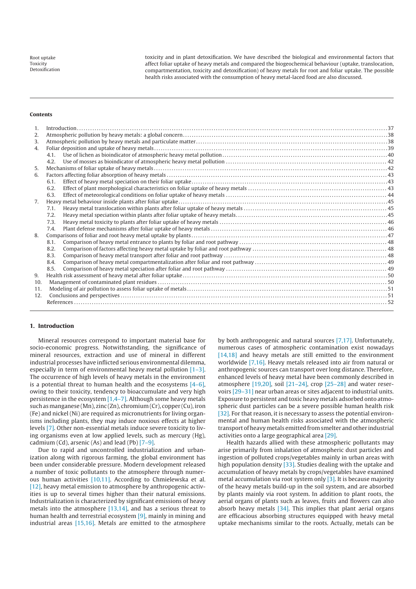Root uptake Toxicity Detoxification toxicity and in plant detoxification. We have described the biological and environmental factors that affect foliar uptake of heavy metals and compared the biogeochemical behaviour (uptake, translocation, compartmentation, toxicity and detoxification) of heavy metals for root and foliar uptake. The possible health risks associated with the consumption of heavy metal-laced food are also discussed.

#### Contents

| 1.  | Introduction 1237 |  |  |  |  |  |  |
|-----|-------------------|--|--|--|--|--|--|
| 2.  |                   |  |  |  |  |  |  |
| 3.  |                   |  |  |  |  |  |  |
| 4.  |                   |  |  |  |  |  |  |
|     | 4.1.              |  |  |  |  |  |  |
|     | 4.2.              |  |  |  |  |  |  |
| 5.  |                   |  |  |  |  |  |  |
| 6.  |                   |  |  |  |  |  |  |
|     | 6.1.              |  |  |  |  |  |  |
|     | 6.2.              |  |  |  |  |  |  |
|     | 6.3.              |  |  |  |  |  |  |
| 7.  |                   |  |  |  |  |  |  |
|     | 7.1.              |  |  |  |  |  |  |
|     | 7.2.              |  |  |  |  |  |  |
|     | 7.3.              |  |  |  |  |  |  |
|     | 7.4.              |  |  |  |  |  |  |
| 8.  |                   |  |  |  |  |  |  |
|     | 8.1.              |  |  |  |  |  |  |
|     | 8.2.              |  |  |  |  |  |  |
|     | 8.3.              |  |  |  |  |  |  |
|     | 8.4.              |  |  |  |  |  |  |
|     | 8.5.              |  |  |  |  |  |  |
| 9.  |                   |  |  |  |  |  |  |
| 10. |                   |  |  |  |  |  |  |
| 11. |                   |  |  |  |  |  |  |
| 12. |                   |  |  |  |  |  |  |
|     |                   |  |  |  |  |  |  |
|     |                   |  |  |  |  |  |  |

# 1. Introduction

Mineral resources correspond to important material base for socio-economic progress. Notwithstanding, the significance of mineral resources, extraction and use of mineral in different industrial processes have inflicted serious environmental dilemma, especially in term of environmental heavy metal pollution [1–3]. The occurrence of high levels of heavy metals in the environment is a potential threat to human health and the ecosystems  $[4-6]$ , owing to their toxicity, tendency to bioaccumulate and very high persistence in the ecosystem [1,4–7]. Although some heavy metals such as manganese (Mn), zinc (Zn), chromium (Cr), copper (Cu), iron (Fe) and nickel (Ni) are required as micronutrients for living organisms including plants, they may induce noxious effects at higher levels [7]. Other non-essential metals induce severe toxicity to living organisms even at low applied levels, such as mercury (Hg), cadmium (Cd), arsenic (As) and lead (Pb) [7–9].

Due to rapid and uncontrolled industrialization and urbanization along with rigorous farming, the global environment has been under considerable pressure. Modern development released a number of toxic pollutants to the atmosphere through numerous human activities [10,11]. According to Chmielewska et al. [12], heavy metal emission to atmosphere by anthropogenic activities is up to several times higher than their natural emissions. Industrialization is characterized by significant emissions of heavy metals into the atmosphere [13,14], and has a serious threat to human health and terrestrial ecosystem [9], mainly in mining and industrial areas [15,16]. Metals are emitted to the atmosphere by both anthropogenic and natural sources [7,17]. Unfortunately, numerous cases of atmospheric contamination exist nowadays [14,18] and heavy metals are still emitted to the environment worldwide [7,16]. Heavy metals released into air from natural or anthropogenic sources can transport over long distance. Therefore, enhanced levels of heavy metal have been commonly described in atmosphere [19,20], soil [21–24], crop [25–28] and water reservoirs [29–31] near urban areas or sites adjacent to industrial units. Exposure to persistent and toxic heavy metals adsorbed onto atmospheric dust particles can be a severe possible human health risk [32]. For that reason, it is necessary to assess the potential environmental and human health risks associated with the atmospheric transport of heavymetals emitted from smelter and other industrial activities onto a large geographical area [29].

Health hazards allied with these atmospheric pollutants may arise primarily from inhalation of atmospheric dust particles and ingestion of polluted crops/vegetables mainly in urban areas with high population density [33]. Studies dealing with the uptake and accumulation of heavy metals by crops/vegetables have examined metal accumulation via root system only [3]. It is because majority of the heavy metals build-up in the soil system, and are absorbed by plants mainly via root system. In addition to plant roots, the aerial organs of plants such as leaves, fruits and flowers can also absorb heavy metals [34]. This implies that plant aerial organs are efficacious absorbing structures equipped with heavy metal uptake mechanisms similar to the roots. Actually, metals can be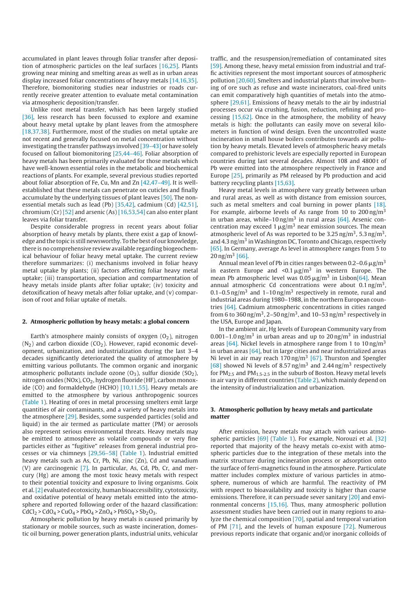accumulated in plant leaves through foliar transfer after deposition of atmospheric particles on the leaf surfaces [16,25]. Plants growing near mining and smelting areas as well as in urban areas display increased foliar concentrations of heavy metals [14,16,35]. Therefore, biomonitoring studies near industries or roads currently receive greater attention to evaluate metal contamination via atmospheric deposition/transfer.

Unlike root metal transfer, which has been largely studied [36], less research has been focussed to explore and examine about heavy metal uptake by plant leaves from the atmosphere [18,37,38]. Furthermore, most of the studies on metal uptake are not recent and generally focused on metal concentration without investigating the transfer pathways involved [39–43] or have solely focused on fallout biomonitoring [25,44–46]. Foliar absorption of heavy metals has been primarily evaluated for those metals which have well-known essential roles in the metabolic and biochemical reactions of plants. For example, several previous studies reported about foliar absorption of Fe, Cu, Mn and Zn [42,47–49]. It is wellestablished that these metals can penetrate on cuticles and finally accumulate by the underlying tissues of plant leaves [50]. The nonessential metals such as lead (Pb) [35,42], cadmium (Cd) [42,51], chromium (Cr) [52] and arsenic (As) [16,53,54] can also enter plant leaves via foliar transfer.

Despite considerable progress in recent years about foliar absorption of heavy metals by plants, there exist a gap of knowledge and the topic is still newsworthy. To the best of our knowledge, there is no comprehensive review available regarding biogeochemical behaviour of foliar heavy metal uptake. The current review therefore summarizes: (i) mechanisms involved in foliar heavy metal uptake by plants; (ii) factors affecting foliar heavy metal uptake; (iii) transportation, speciation and compartmentation of heavy metals inside plants after foliar uptake; (iv) toxicity and detoxification of heavy metals after foliar uptake, and (v) comparison of root and foliar uptake of metals.

#### 2. Atmospheric pollution by heavy metals: a global concern

Earth's atmosphere mainly consists of oxygen  $(O_2)$ , nitrogen  $(N<sub>2</sub>)$  and carbon dioxide (CO<sub>2</sub>). However, rapid economic development, urbanization, and industrialization during the last 3–4 decades significantly deteriorated the quality of atmosphere by emitting various pollutants. The common organic and inorganic atmospheric pollutants include ozone  $(O_3)$ , sulfur dioxide  $(SO_2)$ , nitrogen oxides (NOx), CO<sub>2</sub>, hydrogen fluoride (HF), carbon monoxide (CO) and formaldehyde (HCHO) [10,11,55]. Heavy metals are emitted to the atmosphere by various anthropogenic sources (Table 1). Heating of ores in metal processing smelters emit large quantities of air contaminants, and a variety of heavy metals into the atmosphere [29]. Besides, some suspended particles (solid and liquid) in the air termed as particulate matter (PM) or aerosols also represent serious environmental threats. Heavy metals may be emitted to atmosphere as volatile compounds or very fine particles either as "fugitive" releases from general industrial processes or via chimneys [29,56–58] (Table 1). Industrial emitted heavy metals such as As, Cr, Pb, Ni, zinc (Zn), Cd and vanadium (V) are carcinogenic [7]. In particular, As, Cd, Pb, Cr, and mercury (Hg) are among the most toxic heavy metals with respect to their potential toxicity and exposure to living organisms. Goix et al.[2] evaluated ecotoxicity, human bioaccessibility, cytotoxicity, and oxidative potential of heavy metals emitted into the atmosphere and reported following order of the hazard classification:  $CdCl_2 > CdO_4 > CuO_4 > PbO_4 > ZnO_4 > PbSO_4 > Sb_2O_3.$ 

Atmospheric pollution by heavy metals is caused primarily by stationary or mobile sources, such as waste incineration, domestic oil burning, power generation plants, industrial units, vehicular traffic, and the resuspension/remediation of contaminated sites [59]. Among these, heavy metal emission from industrial and traffic activities represent the most important sources of atmospheric pollution [20,60]. Smelters and industrial plants that involve burning of ore such as refuse and waste incinerators, coal-fired units can emit comparatively high quantities of metals into the atmosphere [29,61]. Emissions of heavy metals to the air by industrial processes occur via crushing, fusion, reduction, refining and processing [15,62]. Once in the atmosphere, the mobility of heavy metals is high: the pollutants can easily move on several kilometers in function of wind design. Even the uncontrolled waste incineration in small house boilers contributes towards air pollution by heavy metals. Elevated levels of atmospheric heavy metals compared to prehistoric levels are especially reported in European countries during last several decades. Almost 108 and 4800 t of Pb were emitted into the atmosphere respectively in France and Europe [25], primarily as PM released by Pb production and acid battery recycling plants [15,63].

Heavy metal levels in atmosphere vary greatly between urban and rural areas, as well as with distance from emission sources, such as metal smelters and coal burning in power plants [18]. For example, airborne levels of As range from 10 to 200 ng/ $m<sup>3</sup>$ in urban areas, while–10 ng/m<sup>3</sup> in rural areas [64]. Arsenic concentration may exceed 1  $\mu$ g/m<sup>3</sup> near emission sources. The mean atmospheric level of As was reported to be 3.25 ng/m<sup>3</sup>, 5.3 ng/m<sup>3</sup>, and 4.3 ng/m<sup>3</sup> in Washington DC, Toronto and Chicago, respectively [65]. In Germany, average As level in atmosphere ranges from 5 to  $20 \,\mathrm{ng/m^3}$  [66].

Annual mean level of Pb in cities ranges between 0.2–0.6  $\mu$ g/m<sup>3</sup> in eastern Europe and <0.1  $\mu$ g/m<sup>3</sup> in western Europe. The mean Pb atmospheric level was 0.05  $\mu$ g/m $^3$  in Lisbon[64]. Mean annual atmospheric Cd concentrations were about 0.1 ng/m<sup>3</sup>, 0.1–0.5 ng/m<sup>3</sup> and 1–10 ng/m<sup>3</sup> respectively in remote, rural and industrial areas during 1980–1988, in the northern European countries [64]. Cadmium atmospheric concentrations in cities ranged from 6 to 360 ng/m $^3$ , 2–50 ng/m $^3$ , and 10–53 ng/m $^3$  respectively in the USA, Europe and Japan.

In the ambient air, Hg levels of European Community vary from 0.001–1.0 ng/m<sup>3</sup> in urban areas and up to 20 ng/m<sup>3</sup> in industrial areas [64]. Nickel levels in atmosphere range from 1 to  $10 \text{ ns/m}^3$ in urban areas [64], but in large cities and near industrialized areas Ni level in air may reach 170 ng/m<sup>3</sup> [67]. Thurston and Spengler [68] showed Ni levels of 8.57 ng/m<sup>3</sup> and 2.44 ng/m<sup>3</sup> respectively for  $PM<sub>2.5</sub>$  and  $PM<sub>1.5-2.5</sub>$  in the suburb of Boston. Heavy metal levels in air vary in different countries (Table 2), which mainly depend on the intensity of industrialization and urbanization.

# 3. Atmospheric pollution by heavy metals and particulate matter

After emission, heavy metals may attach with various atmospheric particles [69] (Table 1). For example, Norouzi et al. [32] reported that majority of the heavy metals co-exist with atmospheric particles due to the integration of these metals into the matrix structure during incineration process or adsorption onto the surface of ferri-magnetics found in the atmosphere. Particulate matter includes complex mixture of various particles in atmosphere, numerous of which are harmful. The reactivity of PM with respect to bioavailability and toxicity is higher than coarse emissions. Therefore, it can persuade sever sanitary [20] and environmental concerns [15,16]. Thus, many atmospheric pollution assessment studies have been carried out in many regions to analyze the chemical composition [70], spatial and temporal variation of PM [71], and the levels of human exposure [72]. Numerous previous reports indicate that organic and/or inorganic colloids of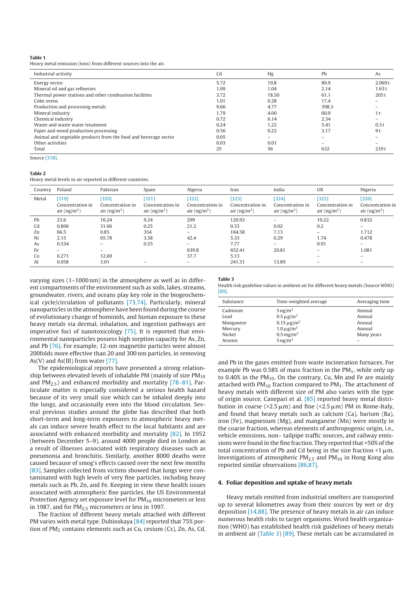#### Table 1

Heavy metal emission (tons) from different sources into the air.

| Industrial activity                                             | Cd   | Hg    | Pb    | As     |
|-----------------------------------------------------------------|------|-------|-------|--------|
| Energy sector                                                   | 5.72 | 19.8  | 80.9  | 2.069t |
| Mineral oil and gas refineries                                  | 1.09 | 1.04  | 2.14  | 1.63t  |
| Thermal power stations and other combustion facilities          | 3.72 | 18.50 | 61.1  | 205t   |
| Coke ovens                                                      | 1.01 | 0.28  | 17.4  |        |
| Production and processing metals                                | 9.66 | 4.77  | 398.3 |        |
| Mineral industry                                                | 1.79 | 4.00  | 60.9  | 1 t    |
| Chemical industry                                               | 0.72 | 6.14  | 2.34  |        |
| Waste and waste water treatment                                 | 0.24 | 1.22  | 5.41  | 0.3t   |
| Paper and wood production processing                            | 0.56 | 0.22  | 3.17  | 9t     |
| Animal and vegetable products from the food and beverage sector | 0.05 |       |       |        |
| Other activities                                                | 0.03 | 0.01  |       |        |
| Total                                                           | 25   | 56    | 632   | 219t   |

Source [318].

#### Table 2

Heavy metal levels in air reported in different countries.

| Country | Poland                                               | Pakistan                                    | Spain                                       | Algeria                                     | Iran                                                  | India                                       | UK                                                     | Nigeria                                                |
|---------|------------------------------------------------------|---------------------------------------------|---------------------------------------------|---------------------------------------------|-------------------------------------------------------|---------------------------------------------|--------------------------------------------------------|--------------------------------------------------------|
| Metal   | [319]<br>Concentration in<br>air(ng/m <sup>3</sup> ) | [320]<br>Concentration in<br>air $(ng/m^3)$ | [321]<br>Concentration in<br>air $(ng/m^3)$ | [322]<br>Concentration in<br>air $(ng/m^3)$ | [323]<br>Concentration in<br>air (ng/m <sup>3</sup> ) | [324]<br>Concentration in<br>air $(ng/m^3)$ | $[325]$<br>Concentration in<br>air(ng/m <sup>3</sup> ) | $[326]$<br>Concentration in<br>air(ng/m <sup>3</sup> ) |
|         |                                                      |                                             |                                             |                                             |                                                       |                                             |                                                        |                                                        |
| Pb      | 23.6                                                 | 16.24                                       | 9.24                                        | 299                                         | 120.92                                                | $\overline{\phantom{0}}$                    | 10.22                                                  | 0.832                                                  |
| Cd      | 0.806                                                | 31.66                                       | 0.25                                        | 21.2                                        | 0.33                                                  | 0.02                                        | 0.2                                                    | $-$                                                    |
| Zn      | 66.5                                                 | 0.85                                        | 354                                         | $\overline{\phantom{0}}$                    | 164.58                                                | 7.13                                        | $-$                                                    | 1.712                                                  |
| Ni      | 2.15                                                 | 65.78                                       | 3.38                                        | 42.4                                        | 5.33                                                  | 0.29                                        | 1.74                                                   | 0.478                                                  |
| As      | 0.534                                                | $\qquad \qquad$                             | 0.55                                        | -                                           | 7.77                                                  | $\overline{\phantom{0}}$                    | 0.91                                                   | $\overline{\phantom{0}}$                               |
| Fe      | $-$                                                  |                                             |                                             | 639.8                                       | 652.41                                                | 20.81                                       | $\overline{\phantom{0}}$                               | 1.081                                                  |
| Co      | 0.271                                                | 12.69                                       |                                             | 37.7                                        | 5.13                                                  |                                             |                                                        |                                                        |
| Al      | 0.058                                                | 3.01                                        | $\qquad \qquad$                             | $\qquad \qquad -$                           | 241.51                                                | 13.89                                       |                                                        |                                                        |

varying sizes (1–1000 nm) in the atmosphere as well as in different compartments of the environment such as soils, lakes, streams, groundwater, rivers, and oceans play key role in the biogeochemical cycle/circulation of pollutants [73,74]. Particularly, mineral nanoparticles in the atmosphere have been found during the course of evolutionary change of hominids, and human exposure to these heavy metals via dermal, inhalation, and ingestion pathways are imperative foci of nanotoxicology [75]. It is reported that environmental nanoparticles possess high sorption capacity for As, Zn, and Pb [76]. For example, 12-nm magnetite particles were almost 200folds more effective than 20 and 300 nm particles, in removing  $As(V)$  and  $As(III)$  from water [77].

The epidemiological reports have presented a strong relationship between elevated levels of inhalable PM (mainly of size  $PM_{10}$ and  $PM_{2.5}$ ) and enhanced morbidity and mortality [78–81]. Particulate matter is especially considered a serious health hazard because of its very small size which can be inhaled deeply into the lungs, and occasionally even into the blood circulation. Several previous studies around the globe has described that both short-term and long-term exposures to atmospheric heavy metals can induce severe health effect to the local habitants and are associated with enhanced morbidity and mortality [82]. In 1952 (between December 5–9), around 4000 people died in London as a result of illnesses associated with respiratory diseases such as pneumonia and bronchitis. Similarly, another 8000 deaths were caused because of smog's effects caused over the next few months [83]. Samples collected from victims showed that lungs were contaminated with high levels of very fine particles, including heavy metals such as Pb, Zn, and Fe. Keeping in view these health issues associated with atmospheric fine particles, the US Environmental Protection Agency set exposure level for  $PM_{10}$  micrometers or less in 1987, and for  $PM<sub>2.5</sub>$  micrometers or less in 1997.

The fraction of different heavy metals attached with different PM varies with metal type. Dubinskaya [84] reported that 75% portion of  $PM<sub>2</sub>$  contains elements such as Cu, cesium (Cs), Zn, As, Cd,

# Table 3

| Health risk guideline values in ambient air for different heavy metals (Source WHO) |
|-------------------------------------------------------------------------------------|
| [89]                                                                                |

| Substance | Time-weighted average                 | Averaging time |
|-----------|---------------------------------------|----------------|
| Cadmium   | $5 \,\mathrm{ng/m^3}$                 | Annual         |
| Lead      | $0.5 \,\mathrm{\upmu}\mathrm{g/m^3}$  | Annual         |
| Manganese | $0.15 \,\mathrm{\upmu}\mathrm{g/m^3}$ | Annual         |
| Mercury   | $1.0 \,\mathrm{\upmu}\mathrm{g/m^3}$  | Annual         |
| Nickel    | $0.5$ mg/m <sup>3</sup>               | Many years     |
| Arsenic   | $5 \text{ ng/m}^3$                    |                |
|           |                                       |                |

and Pb in the gases emitted from waste incineration furnaces. For example Pb was 0.58% of mass fraction in the  $PM_1$ , while only up to 0.40% in the  $PM_{10}$ . On the contrary, Cu, Mn and Fe are mainly attached with  $PM_{10}$  fraction compared to  $PM_1$ . The attachment of heavy metals with different size of PM also varies with the type of origin source. Canepari et al. [85] reported heavy metal distribution in coarse ( $>2.5 \mu m$ ) and fine ( $<2.5 \mu m$ ) PM in Rome-Italy, and found that heavy metals such as calcium (Ca), barium (Ba), iron (Fe), magnesium (Mg), and manganese (Mn) were mostly in the coarse fraction, whereas elements of anthropogenic origin, i.e., vehicle emissions, non– tailpipe traffic sources, and railway emissions were found in the fine fraction. They reported that >50% of the total concentration of Pb and Cd being in the size fraction  $\leq 1 \mu m$ . Investigations of atmospheric  $PM<sub>2.5</sub>$  and  $PM<sub>10</sub>$  in Hong Kong also reported similar observations [86,87].

#### 4. Foliar deposition and uptake of heavy metals

Heavy metals emitted from industrial smelters are transported up to several kilometres away from their sources by wet or dry deposition [14,88]. The presence of heavy metals in air can induce numerous health risks to target organisms. Word health organization (WHO) has established health risk guidelines of heavy metals in ambient air (Table 3) [89]. These metals can be accumulated in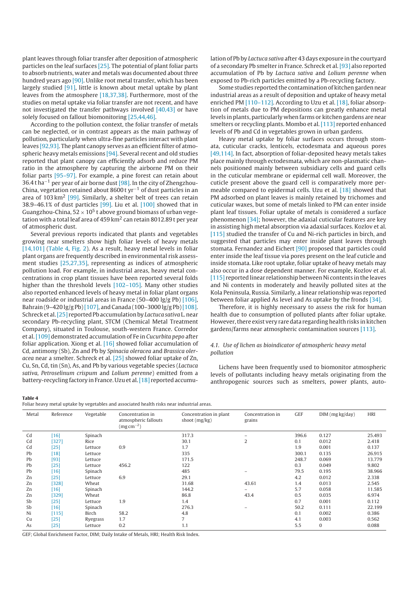plant leaves through foliar transfer after deposition of atmospheric particles on the leaf surfaces [25]. The potential of plant foliar parts to absorb nutrients, water and metals was documented about three hundred years ago [90]. Unlike root metal transfer, which has been largely studied [91], little is known about metal uptake by plant leaves from the atmosphere [18,37,38]. Furthermore, most of the studies on metal uptake via foliar transfer are not recent, and have not investigated the transfer pathways involved [40,43] or have solely focused on fallout biomonitoring [25,44,46].

According to the pollution context, the foliar transfer of metals can be neglected, or in contrast appears as the main pathway of pollution, particularly when ultra-fine particles interact with plant leaves [92,93]. The plant canopy serves as an efficient filter of atmospheric heavy metals emissions [94]. Several recent and old studies reported that plant canopy can efficiently adsorb and reduce PM ratio in the atmosphere by capturing the airborne PM on their foliar parts [95–97]. For example, a pine forest can retain about 36.4 t ha−<sup>1</sup> per year of air borne dust [98]. In the city of Zhengzhou-China, vegetation retained about 8600 t  $yr^{-1}$  of dust particles in an area of 103 km<sup>2</sup> [99]. Similarly, a shelter belt of trees can retain 38.9–46.1% of dust particles [99]. Liu et al. [100] showed that in Guangzhou-China, 52  $\times$  10<sup>5</sup> t above ground biomass of urban vegetation with a total leaf area of 459  $km^2$  can retain 8012.89 t per year of atmospheric dust.

Several previous reports indicated that plants and vegetables growing near smelters show high foliar levels of heavy metals [14,101] (Table 4, Fig. 2). As a result, heavy metal levels in foliar plant organs are frequently described in environmental risk assessment studies [25,27,35], representing as indices of atmospheric pollution load. For example, in industrial areas, heavy metal concentrations in crop plant tissues have been reported several folds higher than the threshold levels [102-105]. Many other studies also reported enhanced levels of heavy metal in foliar plant organs near roadside or industrial areas in France (50–400 lg/g Pb) [106], Bahrain (9–420 lg/g Pb)[107], and Canada (100–3000 lg/g Pb)[108]. Schreck et al. [25] reported Pb accumulation by Lactuca sativa L. near secondary Pb-recycling plant, STCM (Chemical Metal Treatment Company), situated in Toulouse, south-western France. Corredor et al.[109] demonstrated accumulation of Fe in Cucurbita pepo after foliar application. Xiong et al. [16] showed foliar accumulation of Cd, antimony (Sb), Zn and Pb by Spinacia oleracea and Brassica oleracea near a smelter. Schreck et al. [25] showed foliar uptake of Zn, Cu, Sn, Cd, tin (Sn), As, and Pb by various vegetable species (Lactuca sativa, Petroselinum crispum and Lolium perenne) emitted from a battery-recycling factory in France. Uzu et al. [18] reported accumulation of Pb by Lactuca sativa after 43 days exposure in the courtyard of a secondary Pb smelter in France. Schreck et al.[93] also reported accumulation of Pb by Lactuca sativa and Lolium perenne when exposed to Pb-rich particles emitted by a Pb-recycling factory.

Some studies reported the contamination of kitchen garden near industrial areas as a result of deposition and uptake of heavy metal enriched PM [110-112]. According to Uzu et al. [18], foliar absorption of metals due to PM depositions can greatly enhance metal levels in plants, particularly when farms or kitchen gardens are near smelters or recycling plants. Mombo et al. [113] reported enhanced levels of Pb and Cd in vegetables grown in urban gardens.

Heavy metal uptake by foliar surfaces occurs through stomata, cuticular cracks, lenticels, ectodesmata and aqueous pores [49,114]. In fact, absorption of foliar-deposited heavy metals takes place mainly through ectodesmata, which are non-plasmatic channels positioned mainly between subsidiary cells and guard cells in the cuticular membrane or epidermal cell wall. Moreover, the cuticle present above the guard cell is comparatively more permeable compared to epidermal cells. Uzu et al. [18] showed that PM adsorbed on plant leaves is mainly retained by trichomes and cuticular waxes, but some of metals linked to PM can enter inside plant leaf tissues. Foliar uptake of metals is considered a surface phenomenon [34]; however, the adaxial cuticular features are key in assisting high metal absorption via adaxial surfaces. Kozlov et al. [115] studied the transfer of Cu and Ni-rich particles in birch, and suggested that particles may enter inside plant leaves through stomata. Fernandez and Eichert [90] proposed that particles could enter inside the leaf tissue via pores present on the leaf cuticle and inside stomata. Like root uptake, foliar uptake of heavy metals may also occur in a dose dependent manner. For example, Kozlov et al. [115] reported linear relationship between Ni contents in the leaves and Ni contents in moderately and heavily polluted sites at the Kola Peninsula, Russia. Similarly, a linear relationship was reported between foliar applied As level and As uptake by the fronds [34].

Therefore, it is highly necessary to assess the risk for human health due to consumption of polluted plants after foliar uptake. However, there exist very rare data regarding health risks in kitchen gardens/farms near atmospheric contamination sources [113].

# 4.1. Use of lichen as bioindicator of atmospheric heavy metal pollution

Lichens have been frequently used to biomonitor atmospheric levels of pollutants including heavy metals originating from the anthropogenic sources such as smelters, power plants, auto-

#### Table 4

|  |  | Foliar heavy metal uptake by vegetables and associated health risks near industrial areas. |  |
|--|--|--------------------------------------------------------------------------------------------|--|
|  |  |                                                                                            |  |

| Metal | Reference | Vegetable | Concentration in<br>atmospheric fallouts<br>$(mg cm^{-2})$ | Concentration in plant<br>shoot $(mg/kg)$ | Concentration in<br>grains | GEF   | DIM (mg kg/day) | <b>HRI</b> |
|-------|-----------|-----------|------------------------------------------------------------|-------------------------------------------|----------------------------|-------|-----------------|------------|
| Cd    | $[16]$    | Spinach   |                                                            | 317.3                                     |                            | 396.6 | 0.127           | 25.493     |
| Cd    | $[327]$   | Rice      |                                                            | 30.1                                      | 2                          | 0.1   | 0.012           | 2.418      |
| Cd    | $[25]$    | Lettuce   | 0.9                                                        | 1.7                                       |                            | 1.9   | 0.001           | 0.137      |
| Pb    | [18]      | Lettuce   |                                                            | 335                                       |                            | 300.1 | 0.135           | 26.915     |
| Pb    | $[93]$    | Lettuce   |                                                            | 171.5                                     |                            | 248.7 | 0.069           | 13.779     |
| Pb    | $[25]$    | Lettuce   | 456.2                                                      | 122                                       |                            | 0.3   | 0.049           | 9.802      |
| Pb    | $[16]$    | Spinach   |                                                            | 485                                       |                            | 79.5  | 0.195           | 38.966     |
| Zn    | $[25]$    | Lettuce   | 6.9                                                        | 29.1                                      |                            | 4.2   | 0.012           | 2.338      |
| Zn    | [328]     | Wheat     |                                                            | 31.68                                     | 43.61                      | 1.4   | 0.013           | 2.545      |
| Zn    | $[16]$    | Spinach   |                                                            | 144.2                                     | $\overline{\phantom{0}}$   | 5.7   | 0.058           | 11.585     |
| Zn    | [329]     | Wheat     |                                                            | 86.8                                      | 43.4                       | 0.5   | 0.035           | 6.974      |
| Sb    | $[25]$    | Lettuce   | 1.9                                                        | 1.4                                       |                            | 0.7   | 0.001           | 0.112      |
| Sb    | $[16]$    | Spinach   |                                                            | 276.3                                     |                            | 50.2  | 0.111           | 22.199     |
| Ni    | [115]     | Birch     | 58.2                                                       | 4.8                                       |                            | 0.1   | 0.002           | 0.386      |
| Cu    | $[25]$    | Ryegrass  | 1.7                                                        | 7                                         |                            | 4.1   | 0.003           | 0.562      |
| As    | $[25]$    | Lettuce   | 0.2                                                        | 1.1                                       |                            | 5.5   | $\mathbf{0}$    | 0.088      |

GEF; Global Enrichment Factor, DIM; Daily Intake of Metals, HRI; Health Risk Index.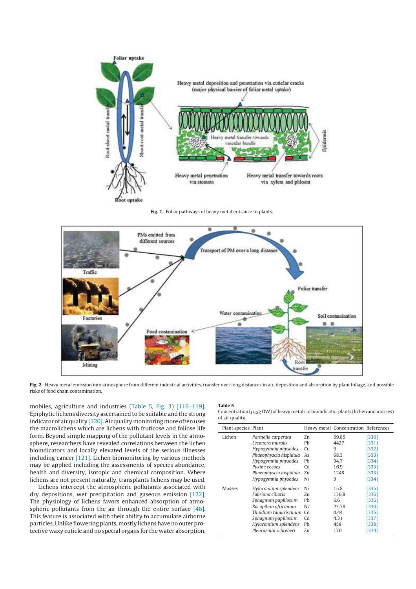

Fig. 1. Foliar pathways of heavy metal entrance to plants.



Fig. 2. Heavy metal emission into atmosphere from different industrial activities, transfer over long distances in air, deposition and absorption by plant foliage, and possible risks of food chain contamination.

mobiles, agriculture and industries (Table 5, Fig. 3) [116–119]. Epiphytic lichens diversity ascertained to be suitable and the strong indicator of air quality  $[120]$ . Air quality monitoring more often uses the macrolichens which are lichens with fruticose and foliose life form. Beyond simple mapping of the pollutant levels in the atmosphere, researchers have revealed correlations between the lichen bioindicators and locally elevated levels of the serious illnesses including cancer [121]. Lichen biomonitoring by various methods may be applied including the assessments of species abundance, health and diversity, isotopic and chemical composition. Where lichens are not present naturally, transplants lichens may be used.

Lichens intercept the atmospheric pollutants associated with dry depositions, wet precipitation and gaseous emission [122]. The physiology of lichens favors enhanced absorption of atmospheric pollutants from the air through the entire surface [46]. This feature is associated with their ability to accumulate airborne particles. Unlike flowering plants, mostly lichens have no outer protective waxy cuticle and no special organs for the water absorption,

#### Table 5

Concentration ( $\mu$ g/g DW) of heavy metals in bioindicator plants (lichen and mosses) of air quality.

| Plant species Plant |                        |                | Heavy metal Concentration References |       |
|---------------------|------------------------|----------------|--------------------------------------|-------|
| Lichen              | Parmelia carperata     | Zn.            | 59.85                                | [330] |
|                     | Lecanora muralis       | Ph             | 4427                                 | [331] |
|                     | Hypogymnia physodes.   | C <sub>u</sub> | 9                                    | [332] |
|                     | Phaeophyscia hispidula | As             | 68.3                                 | 3331  |
|                     | Hypogymnia physodes    | Ph             | 34.7                                 | 3341  |
|                     | Pyxine cocoes          | Cd             | 16.9                                 | 3331  |
|                     | Phaeophyscia hispidula | Zn.            | 1248                                 | 3331  |
|                     | Hypogymnia physodes    | Ni             | 3                                    | [334] |
| Mosses              | Hylocomium splendens   | Ni             | 15.8                                 | [335] |
|                     | Fabriona ciliaris      | Zn.            | 136.8                                | [336] |
|                     | Sphagnum papillosum    | Ph             | 6.6                                  | [335] |
|                     | Racopilum africanum    | Ni             | 23.78                                | [330] |
|                     | Thuidium tamariscinum  | Cd             | 0.44                                 | 335   |
|                     | Sphagnum papillosum    | Cd             | 4.31                                 | 3371  |
|                     | Hylocomium splendens   | Ph             | 458                                  | 3381  |
|                     | Pleurozium schreberi   | Zn             | 170                                  | 3341  |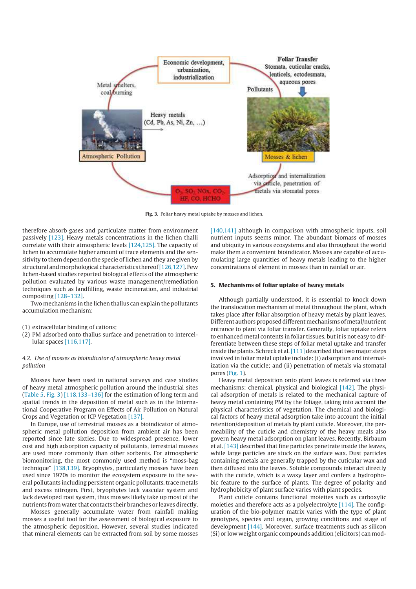

Fig. 3. Foliar heavy metal uptake by mosses and lichen.

therefore absorb gases and particulate matter from environment passively [123]. Heavy metals concentrations in the lichen thalli correlate with their atmospheric levels [124,125]. The capacity of lichen to accumulate higher amount of trace elements and the sensitivity to them depend on the specie of lichen and they are given by structural and morphological characteristics thereof [126,127]. Few lichen-based studies reported biological effects of the atmospheric pollution evaluated by various waste management/remediation techniques such as landfilling, waste incineration, and industrial composting [128–132].

Two mechanisms in the lichen thallus can explain the pollutants accumulation mechanism:

- (1) extracellular binding of cations;
- (2) PM adsorbed onto thallus surface and penetration to intercellular spaces [116,117].

# 4.2. Use of mosses as bioindicator of atmospheric heavy metal pollution

Mosses have been used in national surveys and case studies of heavy metal atmospheric pollution around the industrial sites (Table 5, Fig. 3) [118,133–136] for the estimation of long term and spatial trends in the deposition of metal such as in the International Cooperative Program on Effects of Air Pollution on Natural Crops and Vegetation or ICP Vegetation [137].

In Europe, use of terrestrial mosses as a bioindicator of atmospheric metal pollution deposition from ambient air has been reported since late sixties. Due to widespread presence, lower cost and high adsorption capacity of pollutants, terrestrial mosses are used more commonly than other sorbents. For atmospheric biomonitoring, the most commonly used method is "moss-bag technique" [138,139]. Bryophytes, particularly mosses have been used since 1970s to monitor the ecosystem exposure to the several pollutants including persistent organic pollutants, trace metals and excess nitrogen. First, bryophytes lack vascular system and lack developed root system, thus mosses likely take up most of the nutrients from water that contacts their branches or leaves directly.

Mosses generally accumulate water from rainfall making mosses a useful tool for the assessment of biological exposure to the atmospheric deposition. However, several studies indicated that mineral elements can be extracted from soil by some mosses

[140,141] although in comparison with atmospheric inputs, soil nutrient inputs seems minor. The abundant biomass of mosses and ubiquity in various ecosystems and also throughout the world make them a convenient bioindicator. Mosses are capable of accumulating large quantities of heavy metals leading to the higher concentrations of element in mosses than in rainfall or air.

#### 5. Mechanisms of foliar uptake of heavy metals

Although partially understood, it is essential to knock down the translocation mechanism of metal throughout the plant, which takes place after foliar absorption of heavy metals by plant leaves. Different authors proposed different mechanisms of metal/nutrient entrance to plant via foliar transfer. Generally, foliar uptake refers to enhanced metal contents in foliar tissues, but it is not easy to differentiate between these steps of foliar metal uptake and transfer inside the plants. Schreck et al. [111] described that two major steps involved in foliar metal uptake include: (i) adsorption and internalization via the cuticle; and (ii) penetration of metals via stomatal pores (Fig. 1).

Heavy metal deposition onto plant leaves is referred via three mechanisms: chemical, physical and biological [142]. The physical adsorption of metals is related to the mechanical capture of heavy metal containing PM by the foliage, taking into account the physical characteristics of vegetation. The chemical and biological factors of heavy metal adsorption take into account the initial retention/deposition of metals by plant cuticle. Moreover, the permeability of the cuticle and chemistry of the heavy meals also govern heavy metal adsorption on plant leaves. Recently, Birbaum et al. [143] described that fine particles penetrate inside the leaves, while large particles are stuck on the surface wax. Dust particles containing metals are generally trapped by the cuticular wax and then diffused into the leaves. Soluble compounds interact directly with the cuticle, which is a waxy layer and confers a hydrophobic feature to the surface of plants. The degree of polarity and hydrophobicity of plant surface varies with plant species.

Plant cuticle contains functional moieties such as carboxylic moieties and therefore acts as a polyelectrolyte [114]. The configuration of the bio-polymer matrix varies with the type of plant genotypes, species and organ, growing conditions and stage of development [144]. Moreover, surface treatments such as silicon (Si) or low weight organic compounds addition (elicitors) can mod-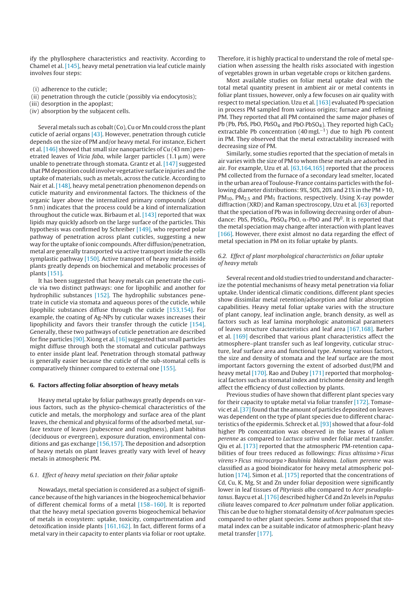ify the phyllosphere characteristics and reactivity. According to Chamel et al. [145], heavy metal penetration via leaf cuticle mainly involves four steps:

- (i) adherence to the cuticle;
- (ii) penetration through the cuticle (possibly via endocytosis);
- (iii) desorption in the apoplast;
- (iv) absorption by the subjacent cells.

Several metals such as cobalt (Co), Cu or Mn could cross the plant cuticle of aerial organs [43]. However, penetration through cuticle depends on the size of PM and/or heavy metal. For instance, Eichert et al. [146] showed that small size nanoparticles of Cu (43 nm) penetrated leaves of Vicia faba, while larger particles  $(1.1 \,\mu\text{m})$  were unable to penetrate through stomata. Grantz et al. [147] suggested that PMdeposition could involve vegetative surface injuries and the uptake of materials, such as metals, across the cuticle. According to Nair et al. [148], heavy metal penetration phenomenon depends on cuticle maturity and environmental factors. The thickness of the organic layer above the internalized primary compounds (about 5 nm) indicates that the process could be a kind of internalization throughout the cuticle wax. Birbaum et al. [143] reported that wax lipids may quickly adsorb on the large surface of the particles. This hypothesis was confirmed by Schreiber [149], who reported polar pathway of penetration across plant cuticles, suggesting a new way for the uptake of ionic compounds. After diffusion/penetration, metal are generally transported via active transport inside the cells symplastic pathway [150]. Active transport of heavy metals inside plants greatly depends on biochemical and metabolic processes of plants [151].

It has been suggested that heavy metals can penetrate the cuticle via two distinct pathways: one for lipophilic and another for hydrophilic substances [152]. The hydrophilic substances penetrate in cuticle via stomata and aqueous pores of the cuticle, while lipophilic substances diffuse through the cuticle [153,154]. For example, the coating of Ag-NPs by cuticular waxes increases their lipophilicity and favors their transfer through the cuticle [154]. Generally, these two pathways of cuticle penetration are described for fine particles [90]. Xiong et al.[16] suggested that small particles might diffuse through both the stomatal and cuticular pathways to enter inside plant leaf. Penetration through stomatal pathway is generally easier because the cuticle of the sub-stomatal cells is comparatively thinner compared to external one [155].

#### 6. Factors affecting foliar absorption of heavy metals

Heavy metal uptake by foliar pathways greatly depends on various factors, such as the physico-chemical characteristics of the cuticle and metals, the morphology and surface area of the plant leaves, the chemical and physical forms of the adsorbed metal, surface texture of leaves (pubescence and roughness), plant habitus (deciduous or evergreen), exposure duration, environmental conditions and gas exchange [156,157]. The deposition and adsorption of heavy metals on plant leaves greatly vary with level of heavy metals in atmospheric PM.

#### 6.1. Effect of heavy metal speciation on their foliar uptake

Nowadays, metal speciation is considered as a subject of significance because of the high variances in the biogeochemical behavior of different chemical forms of a metal [158–160]. It is reported that the heavy metal speciation governs biogeochemical behavior of metals in ecosystem: uptake, toxicity, compartmentation and detoxification inside plants [161,162]. In fact, different forms of a metal vary in their capacity to enter plants via foliar or root uptake.

Therefore, it is highly practical to understand the role of metal speciation when assessing the health risks associated with ingestion of vegetables grown in urban vegetable crops or kitchen gardens.

Most available studies on foliar metal uptake deal with the total metal quantity present in ambient air or metal contents in foliar plant tissues, however, only a few focuses on air quality with respect to metal speciation. Uzu et al. [163] evaluated Pb speciation in process PM sampled from various origins; furnace and refining PM. They reported that all PM contained the same major phases of Pb (Pb, PbS, PbO, PbSO<sub>4</sub> and PbO·PbSO<sub>4</sub>). They reported high CaCl<sub>2</sub> extractable Pb concentration (40 mgL<sup>-1</sup>) due to high Pb content in PM. They observed that the metal extractability increased with decreasing size of PM.

Similarly, some studies reported that the speciation of metals in air varies with the size of PM to whom these metals are adsorbed in air. For example, Uzu et al. [63,164,165] reported that the process PM collected from the furnace of a secondary lead smelter, located in the urban area of Toulouse-France contains particles with the following diameter distributions: 9%, 50%, 20% and 21% in the PM > 10,  $PM_{10}$ ,  $PM_{2.5}$  and  $PM_{1}$  fractions, respectively. Using X-ray powder diffraction (XRD) and Raman spectroscopy, Uzu et al. [63] reported that the speciation of Pb was in following decreasing order of abundance: PbS, PbSO<sub>4</sub>, PbSO<sub>4</sub>.PbO,  $\alpha$ -PbO and Pb<sup>0</sup>. It is reported that the metal speciation may change after interaction with plant leaves [166]. However, there exist almost no data regarding the effect of metal speciation in PM on its foliar uptake by plants.

# 6.2. Effect of plant morphological characteristics on foliar uptake of heavy metals

Several recent and old studies tried to understand and characterize the potential mechanisms of heavy metal penetration via foliar uptake. Under identical climatic conditions, different plant species show dissimilar metal retention/adsorption and foliar absorption capabilities. Heavy metal foliar uptake varies with the structure of plant canopy, leaf inclination angle, branch density, as well as factors such as leaf lamina morphologic anatomical parameters of leaves structure characteristics and leaf area [167,168]. Barber et al. [169] described that various plant characteristics affect the atmosphere–plant transfer such as leaf longevity, cuticular structure, leaf surface area and functional type. Among various factors, the size and density of stomata and the leaf surface are the most important factors governing the extent of adsorbed dust/PM and heavy metal [170]. Rao and Dubey [171] reported that morphological factors such as stomatal index and trichome density and length affect the efficiency of dust collection by plants.

Previous studies of have shown that different plant species vary for their capacity to uptake metal via foliar transfer [172]. Tomasevic et al. [37] found that the amount of particles deposited on leaves was dependent on the type of plant species due to different characteristics of the epidermis. Schreck et al. [93] showed that a four-fold higher Pb concentration was observed in the leaves of Lolium perenne as compared to Lactuca sativa under foliar metal transfer. Qiu et al. [173] reported that the atmospheric PM-retention capabilities of four trees reduced as followings: Ficus altissima > Ficus virens > Ficus microcarpa > Bauhinia blakeana. Lolium perenne was classified as a good bioindicator for heavy metal atmospheric pollution [174]. Simon et al. [175] reported that the concentrations of Cd, Cu, K, Mg, St and Zn under foliar deposition were significantly lower in leaf tissues of Pityriasis alba compared to Acer pseudoplatanus. Baycu et al.[176] described higher Cd and Zn levels in Populus ciliata leaves compared to Acer palmatum under foliar application. This can be due to higher stomatal density of Acer palmatum species compared to other plant species. Some authors proposed that stomatal index can be a suitable indicator of atmospheric-plant heavy metal transfer [177].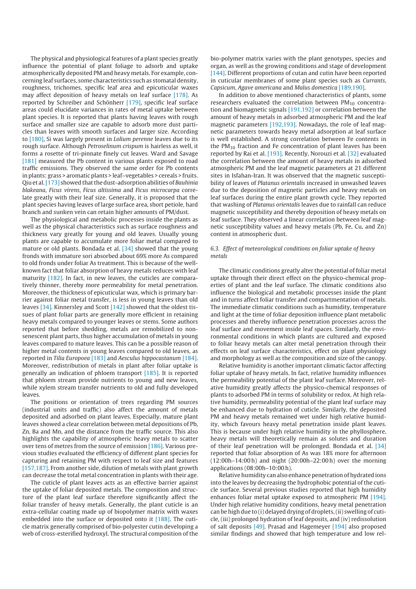The physical and physiological features of a plant species greatly influence the potential of plant foliage to adsorb and uptake atmospherically deposited PM and heavy metals. For example, concerning leaf surfaces, some characteristics such as stomatal density, roughness, trichomes, specific leaf area and epicuticular waxes may affect deposition of heavy metals on leaf surface [178]. As reported by Schreiber and Schönherr [179], specific leaf surface areas could elucidate variances in rates of metal uptake between plant species. It is reported that plants having leaves with rough surface and smaller size are capable to adsorb more dust particles than leaves with smooth surfaces and larger size. According to [180], Si was largely present in Lolium perenne leaves due to its rough surface. Although Petroselinum crispum is hairless as well, it forms a rosette of tri-pinnate finely cut leaves. Ward and Savage [181] measured the Pb content in various plants exposed to road traffic emissions. They observed the same order for Pb contents in plants: grass > aromatic plants > leaf–vegetables > cereals > fruits. Qiu et al.[173] showed that the dust-adsorption abilities of Bauhinia blakeana, Ficus virens, Ficus altissima and Ficus microcarpa correlate greatly with their leaf size. Generally, it is proposed that the plant species having leaves of large surface area, short petiole, hard branch and sunken vein can retain higher amounts of PM/dust.

The physiological and metabolic processes inside the plants as well as the physical characteristics such as surface roughness and thickness vary greatly for young and old leaves. Usually young plants are capable to accumulate more foliar metal compared to mature or old plants. Bondada et al. [34] showed that the young fronds with immature sori absorbed about 69% more As compared to old fronds under foliar As treatment. This is because of the wellknown fact that foliar absorption of heavy metals reduces with leaf maturity [182]. In fact, in new leaves, the cuticles are comparatively thinner, thereby more permeability for metal penetration. Moreover, the thickness of epicuticular wax, which is primary barrier against foliar metal transfer, is less in young leaves than old leaves [34]. Kinnersley and Scott [142] showed that the oldest tissues of plant foliar parts are generally more efficient in retaining heavy metals compared to younger leaves or stems. Some authors reported that before shedding, metals are remobilized to nonsenescent plant parts, thus higher accumulation of metals in young leaves compared to mature leaves. This can be a possible reason of higher metal contents in young leaves compared to old leaves, as reported in Tilia Europoea [183] and Aesculus hippocastanum [184]. Moreover, redistribution of metals in plant after foliar uptake is generally an indication of phloem transport [185]. It is reported that phloem stream provide nutrients to young and new leaves, while xylem stream transfer nutrients to old and fully developed leaves.

The positions or orientation of trees regarding PM sources (industrial units and traffic) also affect the amount of metals deposited and adsorbed on plant leaves. Especially, mature plant leaves showed a clear correlation between metal depositions of Pb, Zn, Ba and Mn, and the distance from the traffic source. This also highlights the capability of atmospheric heavy metals to scatter over tens of metres from the source of emission [186]. Various previous studies evaluated the efficiency of different plant species for capturing and retaining PM with respect to leaf size and features [157,187]. From another side, dilution of metals with plant growth can decrease the total metal concentration in plants with their age.

The cuticle of plant leaves acts as an effective barrier against the uptake of foliar deposited metals. The composition and structure of the plant leaf surface therefore significantly affect the foliar transfer of heavy metals. Generally, the plant cuticle is an extra-cellular coating made up of biopolymer matrix with waxes embedded into the surface or deposited onto it [188]. The cuticle matrix generally comprised of bio-polyester cutin developing a web of cross-esterified hydroxyl. The structural composition of the bio-polymer matrix varies with the plant genotypes, species and organ, as well as the growing conditions and stage of development [144]. Different proportions of cutan and cutin have been reported in cuticular membranes of some plant species such as Currants, Capsicum, Agave americana and Malus domestica [189,190].

In addition to above mentioned characteristics of plants, some researchers evaluated the correlation between  $PM_{10}$  concentration and biomagnetic signals [191,192] or correlation between the amount of heavy metals in adsorbed atmospheric PM and the leaf magnetic parameters [192,193]. Nowadays, the role of leaf magnetic parameters towards heavy metal adsorption at leaf surface is well established. A strong correlation between Fe contents in the  $PM_{10}$  fraction and Fe concentration of plant leaves has been reported by Rai et al. [193]. Recently, Norouzi et al. [32] evaluated the correlation between the amount of heavy metals in adsorbed atmospheric PM and the leaf magnetic parameters at 21 different sites in Isfahan-Iran. It was observed that the magnetic susceptibility of leaves of Platanus orientalis increased in unwashed leaves due to the deposition of magnetic particles and heavy metals on leaf surfaces during the entire plant growth cycle. They reported that washing of Platanus orientalis leaves due to rainfall can reduce magnetic susceptibility and thereby deposition of heavy metals on leaf surface. They observed a linear correlation between leaf magnetic susceptibility values and heavy metals (Pb, Fe, Cu, and Zn) content in atmospheric dust.

### 6.3. Effect of meteorological conditions on foliar uptake of heavy metals

The climatic conditions greatly alter the potential of foliar metal uptake through their direct effect on the physico-chemical properties of plant and the leaf surface. The climatic conditions also influence the biological and metabolic processes inside the plant and in turns affect foliar transfer and compartmentation of metals. The immediate climatic conditions such as humidity, temperature and light at the time of foliar deposition influence plant metabolic processes and thereby influence penetration processes across the leaf surface and movement inside leaf spaces. Similarly, the environmental conditions in which plants are cultured and exposed to foliar heavy metals can alter metal penetration through their effects on leaf surface characteristics, effect on plant physiology and morphology as well as the composition and size of the canopy.

Relative humidity is another important climatic factor affecting foliar uptake of heavy metals. In fact, relative humidity influences the permeability potential of the plant leaf surface. Moreover, relative humidity greatly affects the physico-chemical responses of plants to adsorbed PM in terms of solubility or redox. At high relative humidity, permeability potential of the plant leaf surface may be enhanced due to hydration of cuticle. Similarly, the deposited PM and heavy metals remained wet under high relative humidity, which favours heavy metal penetration inside plant leaves. This is because under high relative humidity in the phyllosphere, heavy metals will theoretically remain as solutes and duration of their leaf penetration will be prolonged. Bondada et al. [34] reported that foliar absorption of As was 18% more for afternoon (12:00h–14:00 h) and night (20:00h–22:00 h) over the morning applications (08:00h–10:00 h).

Relative humidity can also enhance penetration of hydrated ions into the leaves by decreasing the hydrophobic potential of the cuticle surface. Several previous studies reported that high humidity enhances foliar metal uptake exposed to atmospheric PM [194]. Under high relative humidity conditions, heavy metal penetration can be high due to (i) delayed drying of droplets, (ii) swelling of cuticle, (iii) prolonged hydration of leaf deposits, and (iv) redissolution of salt deposits [49]. Prasad and Hagemeyer [194] also proposed similar findings and showed that high temperature and low rel-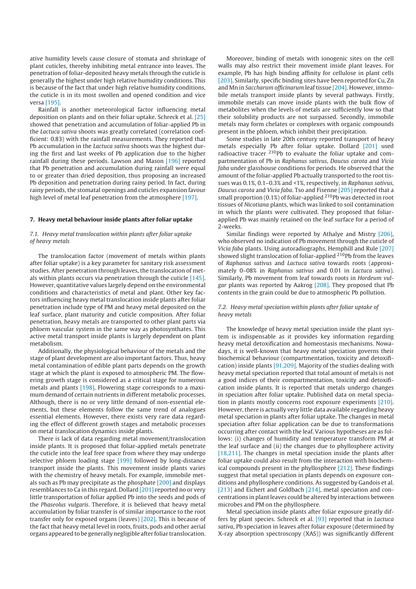ative humidity levels cause closure of stomata and shrinkage of plant cuticles, thereby inhibiting metal entrance into leaves. The penetration of foliar-deposited heavy metals through the cuticle is generally the highest under high relative humidity conditions. This is because of the fact that under high relative humidity conditions, the cuticle is in its most swollen and opened condition and vice versa [195].

Rainfall is another meteorological factor influencing metal deposition on plants and on their foliar uptake. Schreck et al. [25] showed that penetration and accumulation of foliar-applied Pb in the Lactuca sativa shoots was greatly correlated (correlation coefficient: 0.83) with the rainfall measurements. They reported that Pb accumulation in the Lactuca sativa shoots was the highest during the first and last weeks of Pb application due to the higher rainfall during these periods. Lawson and Mason [196] reported that Pb penetration and accumulation during rainfall were equal to or greater than dried deposition, thus proposing an increased Pb deposition and penetration during rainy period. In fact, during rainy periods, the stomatal openings and cuticles expansion favour high level of metal leaf penetration from the atmosphere [197].

#### 7. Heavy metal behaviour inside plants after foliar uptake

# 7.1. Heavy metal translocation within plants after foliar uptake of heavy metals

The translocation factor (movement of metals within plants after foliar uptake) is a key parameter for sanitary risk assessment studies. After penetration through leaves, the translocation of metals within plants occurs via penetration through the cuticle [145]. However, quantitative values largely depend on the environmental conditions and characteristics of metal and plant. Other key factors influencing heavy metal translocation inside plants after foliar penetration include type of PM and heavy metal deposited on the leaf surface, plant maturity and cuticle composition. After foliar penetration, heavy metals are transported to other plant parts via phloem vascular system in the same way as photosynthates. This active metal transport inside plants is largely dependent on plant metabolism.

Additionally, the physiological behaviour of the metals and the stage of plant development are also important factors. Thus, heavy metal contamination of edible plant parts depends on the growth stage at which the plant is exposed to atmospheric PM. The flowering growth stage is considered as a critical stage for numerous metals and plants [198]. Flowering stage corresponds to a maximum demand of certain nutrients in different metabolic processes. Although, there is no or very little demand of non-essential elements, but these elements follow the same trend of analogues essential elements. However, there exists very rare data regarding the effect of different growth stages and metabolic processes on metal translocation dynamics inside plants.

There is lack of data regarding metal movement/translocation inside plants. It is proposed that foliar-applied metals penetrate the cuticle into the leaf free space from where they may undergo selective phloem loading stage [199] followed by long-distance transport inside the plants. This movement inside plants varies with the chemistry of heavy metals. For example, immobile metals such as Pb may precipitate as the phosphate [200] and displays resemblances to Ca in this regard. Dollard [201] reported no or very little transportation of foliar applied Pb into the seeds and pods of the Phaseolus vulgaris. Therefore, it is believed that heavy metal accumulation by foliar transfer is of similar importance to the root transfer only for exposed organs (leaves) [202]. This is because of the fact that heavy metal level in roots, fruits, pods and other aerial organs appeared to be generally negligible after foliar translocation.

Moreover, binding of metals with ionogenic sites on the cell walls may also restrict their movement inside plant leaves. For example, Pb has high binding affinity for cellulose in plant cells [203]. Similarly, specific binding sites have been reported for Cu, Zn and Mn in Saccharum officinarum leaf tissue [204]. However, immobile metals transport inside plants by several pathways. Firstly, immobile metals can move inside plants with the bulk flow of metabolites when the levels of metals are sufficiently low so that their solubility products are not surpassed. Secondly, immobile metals may form chelates or complexes with organic compounds present in the phloem, which inhibit their precipitation.

Some studies in late 20th century reported transport of heavy metals especially Pb after foliar uptake. Dollard [201] used radioactive tracer <sup>210</sup>Pb to evaluate the foliar uptake and compartmentation of Pb in Raphanus sativus, Daucus carota and Vicia faba under glasshouse conditions for periods. He observed that the amount of the foliar-applied Pb actually transported to the root tissues was 0.1%, 0.1–0.3% and <1%, respectively, in Raphanus sativus, Daucus carota and Vicia faba. Tso and Fisenne [205] reported that a small proportion  $(0.1\%)$  of foliar-applied <sup>210</sup>Pb was detected in root tissues of Nicotiana plants, which was linked to soil contamination in which the plants were cultivated. They proposed that foliarapplied Pb was mainly retained on the leaf surface for a period of 2-weeks.

Similar findings were reported by Athalye and Mistry [206], who observed no indication of Pb movement through the cuticle of Vicia faba plants. Using autoradiographs, Hemphill and Rule [207] showed slight translocation of foliar-applied  $2^{10}$ Pb from the leaves of Raphanus sativus and Lactuca sativa towards roots (approximately 0–08% in Raphanus sativus and 0.01 in Lactuca sativa). Similarly, Pb movement from leaf towards roots in Hordeum vulgar plants was reported by Aakrog [208]. They proposed that Pb contents in the grain could be due to atmospheric Pb pollution.

#### 7.2. Heavy metal speciation within plants after foliar uptake of heavy metals

The knowledge of heavy metal speciation inside the plant system is indispensable as it provides key information regarding heavy metal detoxification and homeostasis mechanisms. Nowadays, it is well-known that heavy metal speciation governs their biochemical behaviour (compartmentation, toxicity and detoxification) inside plants [91,209]. Majority of the studies dealing with heavy metal speciation reported that total amount of metals is not a good indices of their compartmentation, toxicity and detoxification inside plants. It is reported that metals undergo changes in speciation after foliar uptake. Published data on metal speciation in plants mostly concerns root exposure experiments [210]. However, there is actually very little data available regarding heavy metal speciation in plants after foliar uptake. The changes in metal speciation after foliar application can be due to transformations occurring after contact with the leaf. Various hypotheses are as follows: (i) changes of humidity and temperature transform PM at the leaf surface and (ii) the changes due to phyllosphere activity [18,211]. The changes in metal speciation inside the plants after foliar uptake could also result from the interaction with biochemical compounds present in the phyllosphere [212]. These findings suggest that metal speciation in plants depends on exposure conditions and phyllosphere conditions. As suggested by Gandois et al. [213] and Eichert and Goldbach [214], metal speciation and concentrations in plant leaves could be altered by interactions between microbes and PM on the phyllosphere.

Metal speciation inside plants after foliar exposure greatly differs by plant species. Schreck et al. [93] reported that in Lactuca sativa, Pb speciation in leaves after foliar exposure (determined by X-ray absorption spectroscopy (XAS)) was significantly different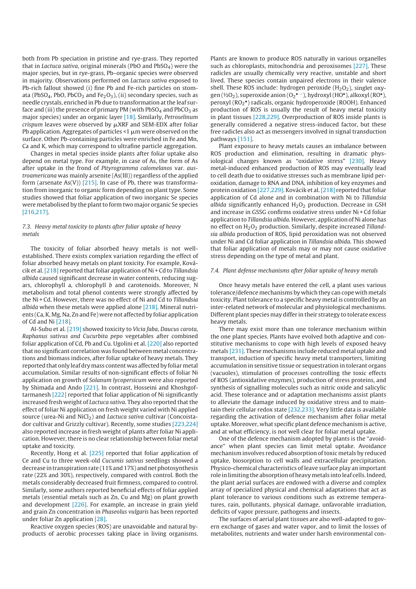both from Pb speciation in pristine and rye-grass. They reported that in *Lactuca sativa*, original minerals (PbO and  $PbSO<sub>4</sub>$ ) were the major species, but in rye-grass, Pb–organic species were observed in majority. Observations performed on Lactuca sativa exposed to Pb-rich fallout showed (i) fine Pb and Fe-rich particles on stomata (PbSO<sub>4</sub>, PbO, PbCO<sub>3</sub> and Fe<sub>2</sub>O<sub>3</sub>), (ii) secondary species, such as needle crystals, enriched in Pb due to transformation at the leaf surface and (iii) the presence of primary PM (with  $PbSO<sub>4</sub>$  and  $PbCO<sub>3</sub>$  as major species) under an organic layer [18]. Similarly, Petroselinum  $crispum$  leaves were observed by  $\mu$ XRF and SEM-EDX after foliar Pb application. Aggregates of particles  $\leq 1 \mu$ m were observed on the surface. Other Pb-containing particles were enriched in Fe and Mn, Ca and K, which may correspond to ultrafine particle aggregation.

Changes in metal species inside plants after foliar uptake also depend on metal type. For example, in case of As, the form of As after uptake in the frond of Pityrogramma calomelanos var. austroamericana was mainly arsenite (As(III)) regardless of the applied form (arsenate  $As(V)$ ) [215]. In case of Pb, there was transformation from inorganic to organic form depending on plant type. Some studies showed that foliar application of two inorganic Se species were metabolised by the plant to form two major organic Se species [216,217].

# 7.3. Heavy metal toxicity to plants after foliar uptake of heavy metals

The toxicity of foliar absorbed heavy metals is not wellestablished. There exists complex variation regarding the effect of foliar absorbed heavy metals on plant toxicity. For example, Kovácik et al. [218] reported that foliar application of Ni + Cd to Tillandsia albida caused significant decrease in water contents, reducing sugars, chlorophyll a, chlorophyll b and carotenoids. Moreover, N metabolism and total phenol contents were strongly affected by the Ni + Cd. However, there was no effect of Ni and Cd to Tillandsia *albida* when these metals were applied alone  $[218]$ . Mineral nutrients (Ca,K, Mg, Na, Zn and Fe) were not affected by foliar application of Cd and Ni [218].

Al-Subu et al. [219] showed toxicity to Vicia faba, Daucus carota, Raphanus sativus and Cucurbita pepo vegetables after combined foliar application of Cd, Pb and Cu. Ugolini et al. [220] also reported that no significant correlation was found between metal concentrations and biomass indices, after foliar uptake of heavy metals. They reported that only leaf dry mass content was affected by foliar metal accumulation. Similar results of non-significant effects of foliar Ni application on growth of Solanum lycopersicum were also reported by Shimada and Ando [221]. In contrast, Hosseini and Khoshgoftarmanesh [222] reported that foliar application of Ni significantly increased fresh weight of Lactuca sativa. They also reported that the effect of foliar Ni application on fresh weight varied with Ni applied source (urea-Ni and  $NiCl<sub>2</sub>$ ) and Lactuca sativa cultivar (Concoistador cultivar and Grizzly cultivar). Recently, some studies [223,224] also reported increase in fresh weight of plants after foliar Ni application. However, there is no clear relationship between foliar metal uptake and toxicity.

Recently, Hong et al. [225] reported that foliar application of Ce and Cu to three week-old Cucumis sativus seedlings showed a decrease in transpiration rate (11% and 17%) and net photosynthesis rate (22% and 30%), respectively, compared with control. Both the metals considerably decreased fruit firmness, compared to control. Similarly, some authors reported beneficial effects of foliar applied metals (essential metals such as Zn, Cu and Mg) on plant growth and development [226]. For example, an increase in grain yield and grain Zn concentration in Phaseolus vulgaris has been reported under foliar Zn application [28].

Reactive oxygen species (ROS) are unavoidable and natural byproducts of aerobic processes taking place in living organisms. Plants are known to produce ROS naturally in various organelles such as chloroplasts, mitochondria and peroxisomes [227]. These radicles are usually chemically very reactive, unstable and short lived. These species contain unpaired electrons in their valence shell. These ROS include: hydrogen peroxide  $(H<sub>2</sub>O<sub>2</sub>)$ , singlet oxygen (½O2), superoxide anion (O2 $^{\bullet}$  <sup>-</sup> ), hydroxyl (HO $^{\bullet}$ ), alkoxyl (RO $^{\bullet}$ ), peroxyl (RO<sub>2</sub><sup>•</sup>) radicals, organic hydroperoxide (ROOH). Enhanced production of ROS is usually the result of heavy metal toxicity in plant tissues [228,229]. Overproduction of ROS inside plants is generally considered a negative stress-induced factor, but these free radicles also act as messengers involved in signal transduction pathways [151].

Plant exposure to heavy metals causes an imbalance between ROS production and elimination, resulting in dramatic physiological changes known as "oxidative stress" [230]. Heavy metal-induced enhanced production of ROS may eventually lead to cell death due to oxidative stresses such as membrane lipid peroxidation, damage to RNA and DNA, inhibition of key enzymes and protein oxidation [227,229]. Kovácik et al.[218] reported that foliar application of Cd alone and in combination with Ni to Tillandsia albida significantly enhanced  $H_2O_2$  production. Decrease in GSH and increase in GSSG confirms oxidative stress under Ni + Cd foliar application to Tillandsia albida. However, application of Ni alone has no effect on  $H_2O_2$  production. Similarly, despite increased Tillandsia albida production of ROS, lipid peroxidation was not observed under Ni and Cd foliar application in Tillandsia albida. This showed that foliar application of metals may or may not cause oxidative stress depending on the type of metal and plant.

# 7.4. Plant defense mechanisms after foliar uptake of heavy metals

Once heavy metals have entered the cell, a plant uses various tolerance/defence mechanisms by which they can cope with metals toxicity. Plant tolerance to a specific heavy metal is controlled by an inter-related network of molecular and physiological mechanisms. Different plant species may differ in their strategy to tolerate excess heavy metals.

There may exist more than one tolerance mechanism within the one plant species. Plants have evolved both adaptive and constitutive mechanisms to cope with high levels of exposed heavy metals [231]. These mechanisms include reduced metal uptake and transport, induction of specific heavy metal transporters, limiting accumulation in sensitive tissue or sequestration in tolerant organs (vacuoles), stimulation of processes controlling the toxic effects of ROS (antioxidative enzymes), production of stress proteins, and synthesis of signalling molecules such as nitric oxide and salicylic acid. These tolerance and or adaptation mechanisms assist plants to alleviate the damage induced by oxidative stress and to maintain their cellular redox state [232,233]. Very little data is available regarding the activation of defence mechanism after foliar metal uptake. Moreover, what specific plant defence mechanism is active, and at what efficiency, is not well clear for foliar metal uptake.

One of the defence mechanism adopted by plants is the "avoidance" when plant species can limit metal uptake. Avoidance mechanism involves reduced absorption of toxic metals by reduced uptake, biosorption to cell walls and extracellular precipitation. Physico-chemical characteristics of leave surface play an important role in limiting the absorption of heavy metals into leaf cells. Indeed, the plant aerial surfaces are endowed with a diverse and complex array of specialized physical and chemical adaptations that act as plant tolerance to various conditions such as extreme temperatures, rain, pollutants, physical damage, unfavorable irradiation, deficits of vapor pressure, pathogens and insects.

The surfaces of aerial plant tissues are also well-adapted to govern exchange of gases and water vapor, and to limit the losses of metabolites, nutrients and water under harsh environmental con-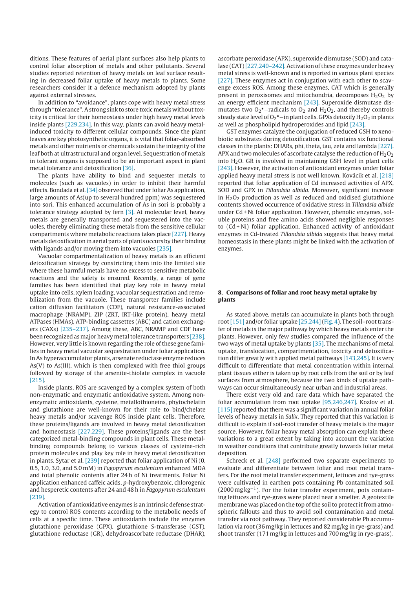ditions. These features of aerial plant surfaces also help plants to control foliar absorption of metals and other pollutants. Several studies reported retention of heavy metals on leaf surface resulting in decreased foliar uptake of heavy metals to plants. Some researchers consider it a defence mechanism adopted by plants against external stresses.

In addition to "avoidance", plants cope with heavy metal stress through "tolerance". A strong sink to store toxic metals without toxicity is critical for their homeostasis under high heavy metal levels inside plants [229,234]. In this way, plants can avoid heavy metalinduced toxicity to different cellular compounds. Since the plant leaves are key photosynthetic organs, it is vital that foliar-absorbed metals and other nutrients or chemicals sustain the integrity of the leaf both at ultrastructural and organ level. Sequestration of metals in tolerant organs is supposed to be an important aspect in plant metal tolerance and detoxification [36].

The plants have ability to bind and sequester metals to molecules (such as vacuoles) in order to inhibit their harmful effects. Bondada et al.[34] observed that under foliar As application, large amounts of As(up to several hundred ppm) was sequestered into sori. This enhanced accumulation of As in sori is probably a tolerance strategy adopted by fern [3]. At molecular level, heavy metals are generally transported and sequestered into the vacuoles, thereby eliminating these metals from the sensitive cellular compartments where metabolic reactions takes place [227]. Heavy metals detoxification in aerial parts of plants occurs by their binding with ligands and/or moving them into vacuoles [235].

Vacuolar compartmentalization of heavy metals is an efficient detoxification strategy by constricting them into the limited site where these harmful metals have no excess to sensitive metabolic reactions and the safety is ensured. Recently, a range of gene families has been identified that play key role in heavy metal uptake into cells, xylem loading, vacuolar sequestration and remobilization from the vacuole. These transporter families include cation diffusion facilitators (CDF), natural resistance-associated macrophage (NRAMP), ZIP (ZRT, IRT-like protein), heavy metal ATPases (HMAs), ATP-binding cassettes (ABC) and cation exchangers (CAXs) [235–237]. Among these, ABC, NRAMP and CDF have been recognized as major heavy metal tolerance transporters [238]. However, very little is known regarding the role of these gene families in heavy metal vacuolar sequestration under foliar application. In As hyperaccumulator plants, arsenate reductase enzyme reduces  $As(V)$  to  $As(III)$ , which is then complexed with free thiol groups followed by storage of the arsenite-thiolate complex in vacuole [215].

Inside plants, ROS are scavenged by a complex system of both non-enzymatic and enzymatic antioxidative system. Among nonenzymatic antioxidants, cysteine, metallothioneins, phytochelatin and glutathione are well-known for their role to bind/chelate heavy metals and/or scavenge ROS inside plant cells. Therefore, these proteins/ligands are involved in heavy metal detoxification and homeostasis [227,229]. These proteins/ligands are the best categorized metal-binding compounds in plant cells. These metalbinding compounds belong to various classes of cysteine-rich protein molecules and play key role in heavy metal detoxification in plants. Sytar et al. [239] reported that foliar application of Ni (0, 0.5, 1.0, 3.0, and 5.0 mM) in Fagopyrum esculentum enhanced MDA and total phenolic contents after 24 h of Ni treatments. Foliar Ni application enhanced caffeic acids, p-hydroxybenzoic, chlorogenic and hesperetic contents after 24 and 48 h in Fagopyrum esculentum [239].

Activation of antioxidative enzymes is an intrinsic defense strategy to control ROS contents according to the metabolic needs of cells at a specific time. These antioxidants include the enzymes glutathione peroxidase (GPX), glutathione S-transferase (GST), glutathione reductase (GR), dehydroascorbate reductase (DHAR), ascorbate peroxidase (APX), superoxide dismutase (SOD) and catalase (CAT)[227,240–242]. Activation of these enzymes under heavy metal stress is well-known and is reported in various plant species [227]. These enzymes act in conjugation with each other to scavenge excess ROS. Among these enzymes, CAT which is generally present in peroxisomes and mitochondria, decomposes  $H_2O_2$  by an energy efficient mechanism [243]. Superoxide dismutase dismutates two  $O_2$ <sup>\*</sup>-radicals to  $O_2$  and  $H_2O_2$ , and thereby controls steady state level of O2 $^{\bullet}-$ in plant cells. GPXs detoxify  $\rm H_2O_2$  in plants as well as phospholipid hydroperoxides and lipid [243].

GST enzymes catalyze the conjugation of reduced GSH to xenobiotic substrates during detoxification. GST contains six functional classes in the plants: DHARs, phi, theta, tau, zeta and lambda [227]. APX and two molecules of ascorbate catalyse the reduction of  $H_2O_2$ into  $H<sub>2</sub>O$ . GR is involved in maintaining GSH level in plant cells [243]. However, the activation of antioxidant enzymes under foliar applied heavy metal stress is not well known. Kovácik et al. [218] reported that foliar application of Cd increased activities of APX, SOD and GPX in Tillandsia albida. Moreover, significant increase in  $H_2O_2$  production as well as reduced and oxidised glutathione contents showed occurrence of oxidative stress in Tillandsia albida under Cd + Ni foliar application. However, phenolic enzymes, soluble proteins and free amino acids showed negligible responses to  $(Cd + Ni)$  foliar application. Enhanced activity of antioxidant enzymes in Cd-treated Tillandsia albida suggests that heavy metal homeostasis in these plants might be linked with the activation of enzymes.

# 8. Comparisons of foliar and root heavy metal uptake by plants

As stated above, metals can accumulate in plants both through root  $[151]$  and/or foliar uptake  $[25,244]$  (Fig. 4). The soil–root transfer of metals is the major pathway by which heavy metals enter the plants. However, only few studies compared the influence of the two ways of metal uptake by plants [35]. The mechanisms of metal uptake, translocation, compartmentation, toxicity and detoxification differ greatly with applied metal pathways [143,245]. It is very difficult to differentiate that metal concentration within internal plant tissues either is taken up by root cells from the soil or by leaf surfaces from atmosphere, because the two kinds of uptake pathways can occur simultaneously near urban and industrial areas.

There exist very old and rare data which have separated the foliar accumulation from root uptake [95,246,247]. Kozlov et al. [115] reported that there was a significant variation in annual foliar levels of heavy metals in Salix. They reported that this variation is difficult to explain if soil-root transfer of heavy metals is the major source. However, foliar heavy metal absorption can explain these variations to a great extent by taking into account the variation in weather conditions that contribute greatly towards foliar metal deposition.

Schreck et al. [248] performed two separate experiments to evaluate and differentiate between foliar and root metal transfers. For the root metal transfer experiment, lettuces and rye-grass were cultivated in earthen pots containing Pb contaminated soil (2000 mg kg−<sup>1</sup> ). For the foliar transfer experiment, pots containing lettuces and rye-grass were placed near a smelter. A geotextile membrane was placed on the top of the soil to protect it from atmospheric fallouts and thus to avoid soil contamination and metal transfer via root pathway. They reported considerable Pb accumulation via root (36 mg/kg in lettuces and 82 mg/kg in rye-grass) and shoot transfer (171 mg/kg in lettuces and 700 mg/kg in rye-grass).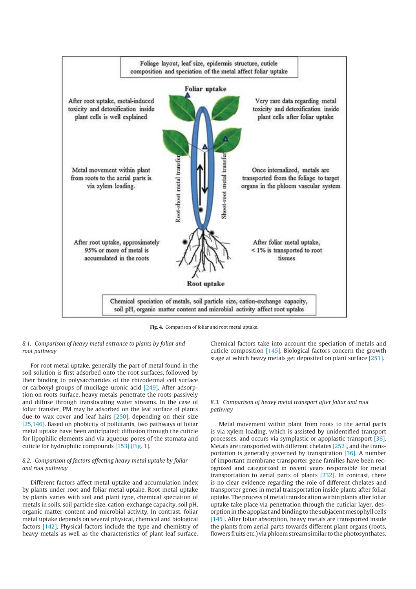

Fig. 4. Comparison of foliar and root metal uptake.

# 8.1. Comparison of heavy metal entrance to plants by foliar and root pathway

For root metal uptake, generally the part of metal found in the soil solution is first adsorbed onto the root surfaces, followed by their binding to polysaccharides of the rhizodermal cell surface or carboxyl groups of mucilage uronic acid [249]. After adsorption on roots surface, heavy metals penetrate the roots passively and diffuse through translocating water streams. In the case of foliar transfer, PM may be adsorbed on the leaf surface of plants due to wax cover and leaf hairs [250], depending on their size [25,146]. Based on phobicity of pollutants, two pathways of foliar metal uptake have been anticipated; diffusion through the cuticle for lipophilic elements and via aqueous pores of the stomata and cuticle for hydrophilic compounds [153] (Fig. 1).

# 8.2. Comparison of factors affecting heavy metal uptake by foliar and root pathway

Different factors affect metal uptake and accumulation index by plants under root and foliar metal uptake. Root metal uptake by plants varies with soil and plant type, chemical speciation of metals in soils, soil particle size, cation-exchange capacity, soil pH, organic matter content and microbial activity. In contrast, foliar metal uptake depends on several physical, chemical and biological factors [142]. Physical factors include the type and chemistry of heavy metals as well as the characteristics of plant leaf surface.

Chemical factors take into account the speciation of metals and cuticle composition [145]. Biological factors concern the growth stage at which heavy metals get deposited on plant surface [251].

# 8.3. Comparison of heavy metal transport after foliar and root pathway

Metal movement within plant from roots to the aerial parts is via xylem loading, which is assisted by unidentified transport processes, and occurs via symplastic or apoplastic transport [36]. Metals are transported with different chelates [252], and the transportation is generally governed by transpiration [36]. A number of important membrane transporter gene families have been recognized and categorized in recent years responsible for metal transportation to aerial parts of plants [232]. In contrast, there is no clear evidence regarding the role of different chelates and transporter genes in metal transportation inside plants after foliar uptake. The process of metal translocation within plants after foliar uptake take place via penetration through the cuticlar layer, desorption in the apoplast and binding to the subjacent mesophyll cells [145]. After foliar absorption, heavy metals are transported inside the plants from aerial parts towards different plant organs (roots, flowers fruits etc.) via phloem stream similar to the photosynthates.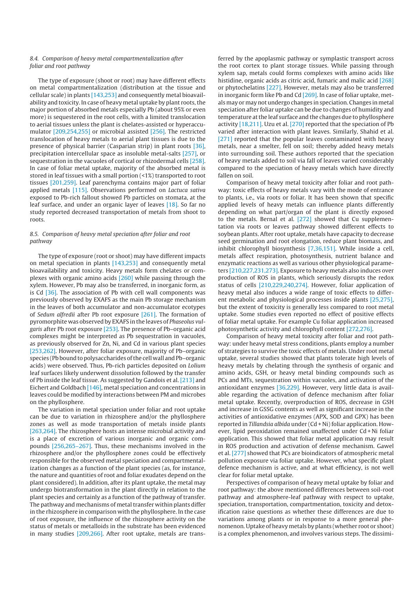# 8.4. Comparison of heavy metal compartmentalization after foliar and root pathway

The type of exposure (shoot or root) may have different effects on metal compartmentalization (distribution at the tissue and cellular scale) in plants [143,253] and consequently metal bioavailability and toxicity. In case of heavy metal uptake by plant roots, the major portion of absorbed metals especially Pb (about 95% or even more) is sequestered in the root cells, with a limited translocation to aerial tissues unless the plant is chelates-assisted or hyperaccumulator [209,254,255] or microbial assisted [256]. The restricted translocation of heavy metals to aerial plant tissues is due to the presence of physical barrier (Casparian strip) in plant roots [36], precipitation intercellular space as insoluble metal-salts [257], or sequestration in the vacuoles of cortical or rhizodermal cells [258]. In case of foliar metal uptake, majority of the absorbed metal is stored in leaf tissues with a small portion (<1%) transported to root tissues [201,259]. Leaf parenchyma contains major part of foliar applied metals [115]. Observations performed on Lactuca sativa exposed to Pb-rich fallout showed Pb particles on stomata, at the leaf surface, and under an organic layer of leaves [18]. So far no study reported decreased transportation of metals from shoot to roots.

# 8.5. Comparison of heavy metal speciation after foliar and root pathway

The type of exposure (root or shoot) may have different impacts on metal speciation in plants [143,253] and consequently metal bioavailability and toxicity. Heavy metals form chelates or complexes with organic amino acids [260] while passing through the xylem. However, Pb may also be transferred, in inorganic form, as is Cd [36]. The association of Pb with cell wall components was previously observed by EXAFS as the main Pb storage mechanism in the leaves of both accumulator and non-accumulator ecotypes of Sedum alfredii after Pb root exposure [261]. The formation of pyromorphite was observed by EXAFS in the leaves of Phaseolus vulgaris after Pb root exposure [253]. The presence of Pb–organic acid complexes might be interpreted as Pb sequestration in vacuoles, as previously observed for Zn, Ni, and Cd in various plant species [253,262]. However, after foliar exposure, majority of Pb–organic species (Pb bound to polysaccharides of the cell wall and Pb-organic acids) were observed. Thus, Pb-rich particles deposited on Lolium leaf surfaces likely underwent dissolution followed by the transfer of Pb inside the leaf tissue. As suggested by Gandois et al. [213] and Eichert and Goldbach [146], metal speciation and concentrations in leaves could be modified by interactions between PM and microbes on the phyllosphere.

The variation in metal speciation under foliar and root uptake can be due to variation in rhizosphere and/or the phyllosphere zones as well as mode transportation of metals inside plants [263,264]. The rhizosphere hosts an intense microbial activity and is a place of excretion of various inorganic and organic compounds [256,265–267]. Thus, these mechanisms involved in the rhizosphere and/or the phyllosphere zones could be effectively responsible for the observed metal speciation and compartmentalization changes as a function of the plant species (as, for instance, the nature and quantities of root and foliar exudates depend on the plant considered). In addition, after its plant uptake, the metal may undergo biotransformation in the plant directly in relation to the plant species and certainly as a function of the pathway of transfer. The pathway and mechanisms of metal transfer within plants differ in the rhizosphere in comparison with the phyllosphere. In the case of root exposure, the influence of the rhizosphere activity on the status of metals or metalloids in the substrate has been evidenced in many studies [209,266]. After root uptake, metals are transferred by the apoplasmic pathway or symplastic transport across the root cortex to plant storage tissues. While passing through xylem sap, metals could forms complexes with amino acids like histidine, organic acids as citric acid, fumaric and malic acid [268] or phytochelatins [227]. However, metals may also be transferred in inorganic form like Pb and Cd [269]. In case of foliar uptake, metals may or may not undergo changes in speciation. Changes in metal speciation after foliar uptake can be due to changes of humidity and temperature at the leaf surface and the changes due to phyllosphere activity [18,211]. Uzu et al. [270] reported that the speciation of Pb varied after interaction with plant leaves. Similarly, Shahid et al. [271] reported that the popular leaves contaminated with heavy metals, near a smelter, fell on soil; thereby added heavy metals into surrounding soil. These authors reported that the speciation of heavy metals added to soil via fall of leaves varied considerably compared to the speciation of heavy metals which have directly fallen on soil.

Comparison of heavy metal toxicity after foliar and root pathway: toxic effects of heavy metals vary with the mode of entrance to plants, i.e., via roots or foliar. It has been shown that specific applied levels of heavy metals can influence plants differently depending on what part/organ of the plant is directly exposed to the metals. Bernal et al. [272] showed that Cu supplementation via roots or leaves pathway showed different effects to soybean plants. After root uptake, metals have capacity to decrease seed germination and root elongation, reduce plant biomass, and inhibit chlorophyll biosynthesis [7,36,151]. While inside a cell, metals affect respiration, photosynthesis, nutrient balance and enzymatic reactions as well as various other physiological parameters [210,227,231,273]. Exposure to heavy metals also induces over production of ROS in plants, which seriously disrupts the redox status of cells [210,229,240,274]. However, foliar application of heavy metal also induces a wide range of toxic effects to different metabolic and physiological processes inside plants [25,275], but the extent of toxicity is generally less compared to root metal uptake. Some studies even reported no effect of positive effects of foliar metal uptake. For example Cu foliar application increased photosynthetic activity and chlorophyll content [272,276].

Comparison of heavy metal toxicity after foliar and root pathway: under heavy metal stress conditions, plants employ a number of strategies to survive the toxic effects of metals. Under root metal uptake, several studies showed that plants tolerate high levels of heavy metals by chelating through the synthesis of organic and amino acids, GSH, or heavy metal binding compounds such as PCs and MTs, sequestration within vacuoles, and activation of the antioxidant enzymes [36,229]. However, very little data is available regarding the activation of defence mechanism after foliar metal uptake. Recently, overproduction of ROS, decrease in GSH and increase in GSSG contents as well as significant increase in the activities of antioxidative enzymes (APX, SOD and GPX) has been reported in Tillandsia albida under (Cd + Ni) foliar application. However, lipid peroxidation remained unaffected under Cd + Ni foliar application. This showed that foliar metal application may result in ROS production and activation of defense mechanism. Gawel et al. [277] showed that PCs are bioindicators of atmospheric metal pollution exposure via foliar uptake. However, what specific plant defence mechanism is active, and at what efficiency, is not well clear for foliar metal uptake.

Perspectives of comparison of heavy metal uptake by foliar and root pathway: the above mentioned differences between soil-root pathway and atmosphere-leaf pathway with respect to uptake, speciation, transportation, compartmentation, toxicity and detoxification raise questions as whether these differences are due to variations among plants or in response to a more general phenomenon. Uptake of heavy metals by plants (whether root or shoot) is a complex phenomenon, and involves various steps. The dissimi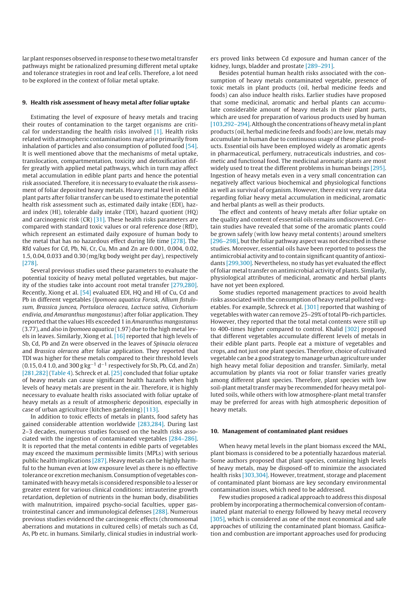lar plant responses observed in response to these twometal transfer pathways might be rationalized presuming different metal uptake and tolerance strategies in root and leaf cells. Therefore, a lot need to be explored in the context of foliar metal uptake.

# 9. Health risk assessment of heavy metal after foliar uptake

Estimating the level of exposure of heavy metals and tracing their routes of contamination to the target organisms are critical for understanding the health risks involved [1]. Health risks related with atmospheric contaminations may arise primarily from inhalation of particles and also consumption of polluted food [54]. It is well mentioned above that the mechanisms of metal uptake, translocation, compartmentation, toxicity and detoxification differ greatly with applied metal pathways, which in turn may affect metal accumulation in edible plant parts and hence the potential risk associated. Therefore, it is necessary to evaluate the risk assessment of foliar deposited heavy metals. Heavy metal level in edible plant parts after foliar transfer can be used to estimate the potential health risk assessment such as, estimated daily intake (EDI), hazard index (HI), tolerable daily intake (TDI), hazard quotient (HQ) and carcinogenic risk (CR) [31]. These health risks parameters are compared with standard toxic values or oral reference dose (RfD), which represent an estimated daily exposure of human body to the metal that has no hazardous effect during life time [278]. The Rfd values for Cd, Pb, Ni, Cr, Cu, Mn and Zn are 0.001, 0.004, 0.02, 1.5, 0.04, 0.033 and 0.30 (mg/kg body weight per day), respectively [278].

Several previous studies used these parameters to evaluate the potential toxicity of heavy metal polluted vegetables, but majority of the studies take into account root metal transfer [279,280]. Recently, Xiong et al. [54] evaluated EDI, HQ and HI of Cu, Cd and Pb in different vegetables (Ipomoea aquatica Forssk, Allium fistulosum, Brassica juncea, Portulaca oleracea, Lactuca sativa, Cichorium endivia, and Amaranthus mangostanus) after foliar application. They reported that the values HIs exceeded 1 in Amaranthus mangostanus (3.77), and also in Ipomoea aquatica (1.97) due to the high metal levels in leaves. Similarly, Xiong et al. [16] reported that high levels of Sb, Cd, Pb and Zn were observed in the leaves of Spinacia oleracea and Brassica oleracea after foliar application. They reported that TDI was higher for these metals compared to their threshold levels  $(0.15, 0.4 1.0,$  and  $300\,\mathrm{g\,kg^{-1}\,d^{-1}}$  respectively for Sb, Pb, Cd, and Zn) [281,282] (Table 4). Schreck et al. [25] concluded that foliar uptake of heavy metals can cause significant health hazards when high levels of heavy metals are present in the air. Therefore, it is highly necessary to evaluate health risks associated with foliar uptake of heavy metals as a result of atmospheric deposition, especially in case of urban agriculture (kitchen gardening) [113].

In addition to toxic effects of metals in plants, food safety has gained considerable attention worldwide [283,284]. During last 2–3 decades, numerous studies focused on the health risks associated with the ingestion of contaminated vegetables [284–286]. It is reported that the metal contents in edible parts of vegetables may exceed the maximum permissible limits (MPLs) with serious public health implications [287]. Heavy metals can be highly harmful to the human even at low exposure level as there is no effective tolerance or excretion mechanism. Consumption of vegetables contaminated with heavymetals is considered responsible to a lesser or greater extent for various clinical conditions: intrauterine growth retardation, depletion of nutrients in the human body, disabilities with malnutrition, impaired psycho-social faculties, upper gastrointestinal cancer and immunological defenses [288]. Numerous previous studies evidenced the carcinogenic effects (chromosomal aberrations and mutations in cultured cells) of metals such as Cd, As, Pb etc. in humans. Similarly, clinical studies in industrial workers proved links between Cd exposure and human cancer of the kidney, lungs, bladder and prostate [289–291].

Besides potential human health risks associated with the consumption of heavy metals contaminated vegetable, presence of toxic metals in plant products (oil, herbal medicine feeds and foods) can also induce health risks. Earlier studies have proposed that some medicinal, aromatic and herbal plants can accumulate considerable amount of heavy metals in their plant parts, which are used for preparation of various products used by human [103,292–294]. Although the concentrations of heavymetal in plant products (oil, herbal medicine feeds and foods) are low, metals may accumulate in human due to continuous usage of these plant products. Essential oils have been employed widely as aromatic agents in pharmaceutical, perfumery, nutraceuticals industries, and cosmetic and functional food. The medicinal aromatic plants are most widely used to treat the different problems in human beings [295]. Ingestion of heavy metals even in a very small concentration can negatively affect various biochemical and physiological functions as well as survival of organism. However, there exist very rare data regarding foliar heavy metal accumulation in medicinal, aromatic and herbal plants as well as their products.

The effect and contents of heavy metals after foliar uptake on the quality and content of essential oils remains undiscovered. Certain studies have revealed that some of the aromatic plants could be grown safely (with low heavy metal contents) around smelters [296–298], but the foliar pathway aspect was not described in these studies. Moreover, essential oils have been reported to possess the antimicrobial activity and to contain significant quantity of antioxidants [299,300]. Nevertheless, no study has yet evaluated the effect of foliar metal transfer on antimicrobial activity of plants. Similarly, physiological attributes of medicinal, aromatic and herbal plants have not yet been explored.

Some studies reported management practices to avoid health risks associated with the consumption of heavy metal polluted vegetables. For example, Schreck et al. [301] reported that washing of vegetables with water can remove 25–29% of total Pb-rich particles. However, they reported that the total metal contents were still up to 400-times higher compared to control. Khalid [302] proposed that different vegetables accumulate different levels of metals in their edible plant parts. People eat a mixture of vegetables and crops, and not just one plant species. Therefore, choice of cultivated vegetable can be a good strategy to manage urban agriculture under high heavy metal foliar deposition and transfer. Similarly, metal accumulation by plants via root or foliar transfer varies greatly among different plant species. Therefore, plant species with low soil-plant metal transfer may be recommended for heavy metal polluted soils, while others with low atmosphere-plant metal transfer may be preferred for areas with high atmospheric deposition of heavy metals.

#### 10. Management of contaminated plant residues

When heavy metal levels in the plant biomass exceed the MAL, plant biomass is considered to be a potentially hazardous material. Some authors proposed that plant species, containing high levels of heavy metals, may be disposed-off to minimize the associated health risks [303,304]. However, treatment, storage and placement of contaminated plant biomass are key secondary environmental contamination issues, which need to be addressed.

Few studies proposed a radical approach to address this disposal problem by incorporating a thermochemical conversion of contaminated plant material to energy followed by heavy metal recovery [305], which is considered as one of the most economical and safe approaches of utilizing the contaminated plant biomass. Gasification and combustion are important approaches used for producing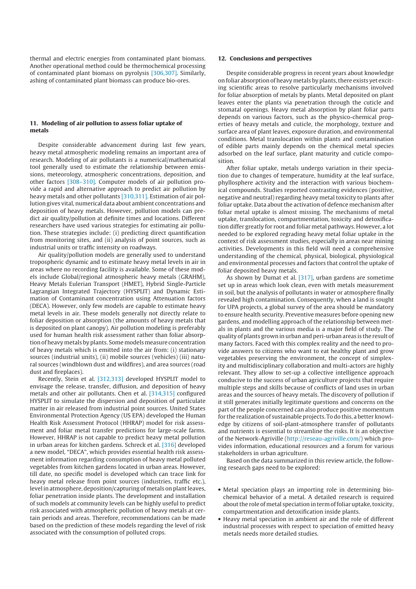thermal and electric energies from contaminated plant biomass. Another operational method could be thermochemical processing of contaminated plant biomass on pyrolysis [306,307]. Similarly, ashing of contaminated plant biomass can produce bio-ores.

# 11. Modeling of air pollution to assess foliar uptake of metals

Despite considerable advancement during last few years, heavy metal atmospheric modeling remains an important area of research. Modeling of air pollutants is a numerical/mathematical tool generally used to estimate the relationship between emissions, meteorology, atmospheric concentrations, deposition, and other factors [308–310]. Computer models of air pollution provide a rapid and alternative approach to predict air pollution by heavy metals and other pollutants [310,311]. Estimation of air pollution gives vital, numerical data about ambient concentrations and deposition of heavy metals. However, pollution models can predict air quality/pollution at definite times and locations. Different researchers have used various strategies for estimating air pollution. These strategies include: (i) predicting direct quantification from monitoring sites, and (ii) analysis of point sources, such as industrial units or traffic intensity on roadways.

Air quality/pollution models are generally used to understand tropospheric dynamic and to estimate heavy metal levels in air in areas where no recording facility is available. Some of these models include Global/regional atmospheric heavy metals (GRAHM), Heavy Metals Eulerian Transport (HMET), Hybrid Single-Particle Lagrangian Integrated Trajectory (HYSPLIT) and Dynamic Estimation of Contaminant concentration using Attenuation factors (DECA). However, only few models are capable to estimate heavy metal levels in air. These models generally not directly relate to foliar deposition or absorption (the amounts of heavy metals that is deposited on plant canopy). Air pollution modeling is preferably used for human health risk assessment rather than foliar absorption of heavy metals by plants. Some models measure concentration of heavy metals which is emitted into the air from: (i) stationary sources (industrial units), (ii) mobile sources (vehicles) (iii) natural sources (windblown dust and wildfires), and area sources (road dust and fireplaces).

Recently, Stein et al. [312,313] developed HYSPLIT model to envisage the release, transfer, diffusion, and deposition of heavy metals and other air pollutants. Chen et al. [314,315] configured HYSPLIT to simulate the dispersion and deposition of particulate matter in air released from industrial point sources. United States Environmental Protection Agency (US EPA) developed the Human Health Risk Assessment Protocol (HHRAP) model for risk assessment and foliar metal transfer predictions for large-scale farms. However, HHRAP is not capable to predict heavy metal pollution in urban areas for kitchen gardens. Schreck et al. [316] developed a new model, "DECA", which provides essential health risk assessment information regarding consumption of heavy metal polluted vegetables from kitchen gardens located in urban areas. However, till date, no specific model is developed which can trace link for heavy metal release from point sources (industries, traffic etc.), level in atmosphere, deposition/capturing of metals on plant leaves, foliar penetration inside plants. The development and installation of such models at community levels can be highly useful to predict risk associated with atmospheric pollution of heavy metals at certain periods and areas. Therefore, recommendations can be made based on the prediction of these models regarding the level of risk associated with the consumption of polluted crops.

#### 12. Conclusions and perspectives

Despite considerable progress in recent years about knowledge on foliar absorption of heavymetals by plants, there exists yet exciting scientific areas to resolve particularly mechanisms involved for foliar absorption of metals by plants. Metal deposited on plant leaves enter the plants via penetration through the cuticle and stomatal openings. Heavy metal absorption by plant foliar parts depends on various factors, such as the physico-chemical properties of heavy metals and cuticle, the morphology, texture and surface area of plant leaves, exposure duration, and environmental conditions. Metal translocation within plants and contamination of edible parts mainly depends on the chemical metal species adsorbed on the leaf surface, plant maturity and cuticle composition.

After foliar uptake, metals undergo variation in their speciation due to changes of temperature, humidity at the leaf surface, phyllosphere activity and the interaction with various biochemical compounds. Studies reported contrasting evidences (positive, negative and neutral) regarding heavy metal toxicity to plants after foliar uptake. Data about the activation of defence mechanism after foliar metal uptake is almost missing. The mechanisms of metal uptake, translocation, compartmentation, toxicity and detoxification differ greatly for root and foliar metal pathways. However, a lot needed to be explored regrading heavy metal foliar uptake in the context of risk assessment studies, especially in areas near mining activities. Developments in this field will need a comprehensive understanding of the chemical, physical, biological, physiological and environmental processes and factors that control the uptake of foliar deposited heavy metals.

As shown by Dumat et al. [317], urban gardens are sometime set up in areas which look clean, even with metals measurement in soil, but the analysis of pollutants in water or atmosphere finally revealed high contamination. Consequently, when a land is sought for UPA projects, a global survey of the area should be mandatory to ensure health security. Preventive measures before opening new gardens, and modelling approach of the relationship between metals in plants and the various media is a major field of study. The quality of plants grown in urban and peri-urban areas is the result of many factors. Faced with this complex reality and the need to provide answers to citizens who want to eat healthy plant and grow vegetables preserving the environment, the concept of simplexity and multidisciplinary collaboration and multi-actors are highly relevant. They allow to set-up a collective intelligence approach conducive to the success of urban agriculture projects that require multiple steps and skills because of conflicts of land uses in urban areas and the sources of heavy metals. The discovery of pollution if it still generates initially legitimate questions and concerns on the part of the people concerned can also produce positive momentum for the realization of sustainable projects. To do this, a better knowledge by citizens of soil-plant-atmosphere transfer of pollutants and nutrients is essential to streamline the risks. It is an objective of the Network-Agriville (http://reseau-agriville.com/) which provides information, educational resources and a forum for various stakeholders in urban agriculture.

Based on the data summarized in this review article, the following research gaps need to be explored:

- Metal speciation plays an importing role in determining biochemical behavior of a metal. A detailed research is required about the role of metal speciation in term of foliar uptake, toxicity, compartmentation and detoxification inside plants.
- Heavy metal speciation in ambient air and the role of different industrial processes with respect to speciation of emitted heavy metals needs more detailed studies.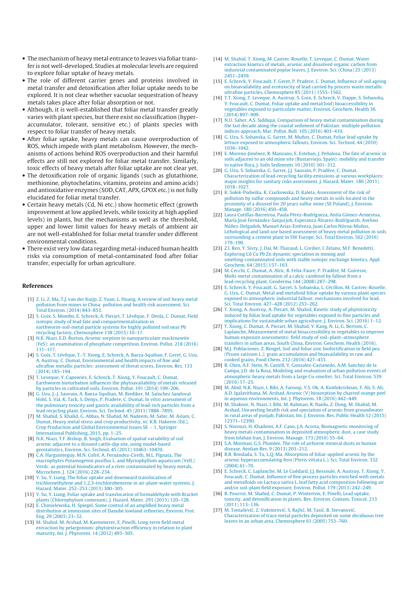- The mechanism of heavy metal entrance to leaves via foliar transfer is not well-developed. Studies at molecular levels are required to explore foliar uptake of heavy metals.
- The role of different carrier genes and proteins involved in metal transfer and detoxification after foliar uptake needs to be explored. It is not clear whether vacuolar sequestration of heavy metals takes place after foliar absorption or not.
- Although, it is well-established that foliar metal transfer greatly varies with plant species, but there exist no classification (hyperaccumulator, tolerant, sensitive etc.) of plants species with respect to foliar transfer of heavy metals.
- After foliar uptake, heavy metals can cause overproduction of ROS, which impede with plant metabolism. However, the mechanisms of actions behind ROS overproduction and their harmful effects are still not explored for foliar metal transfer. Similarly, toxic effects of heavy metals after foliar uptake are not clear yet.
- The detoxification role of organic ligands (such as glutathione, methionine, phytochelatins, vitamins, proteins and amino acids) and antioxidative enzymes (SOD, CAT, APX, GPOX etc.) is not fully elucidated for foliar metal transfer.
- Certain heavy metals (Cd, Ni etc.) show hormetic effect (growth improvement at low applied levels, while toxicity at high applied levels) in plants, but the mechanisms as well as the threshold, upper and lower limit values for heavy metals of ambient air are not well-established for foliar metal transfer under different environmental conditions.
- There exist very low data regarding metal-induced human health risks via consumption of metal-contaminated food after foliar transfer, especially for urban agriculture.

#### References

- [1] Z. Li, Z. Ma, T.J. van der Kuijp, Z. Yuan, L. Huang, A review of soil heavy metal pollution from mines in China: pollution and health risk assessment, Sci. Total Environ. (2014) 843–853.
- [2] S. Goix, S. Mombo, E. Schreck, A. Pierart, T. Lévêque, F. Deola, C. Dumat, Field isotopic study of lead fate and compartmentalization in earthworm-soil-metal particle systems for highly polluted soil near Pb recycling factory, Chemosphere 138 (2015) 10–17.
- [3] N.K. Niazi, E.D. Burton, Arsenic sorption to nanoparticulate mackinawite (FeS): an examination of phosphate competition, Environ. Pollut. 218 (2016)  $111 - 117$
- [4] S. Goix, T. Lévêque, T.-T. Xiong, E. Schreck, A. Baeza-Squiban, F. Geret, G. Uzu, A. Austruy, C. Dumat, Environmental and health impacts of fine and ultrafine metallic particles: assessment of threat scores, Environ. Res. 133 (2014) 185–194.
- [5] T. Leveque, Y. Capowiez, E. Schreck, T. Xiong, Y. Foucault, C. Dumat, Earthworm bioturbation influences the phytoavailability of metals released by particles in cultivated soils, Environ. Pollut. 191 (2014) 199–206.
- [6] G. Uzu, J.-J. Sauvain, A. Baeza-Squiban, M. Riediker, M. Sainchez Sandoval Hohl, S. Val, K. Tack, S. Denys, P. Pradere, C. Dumat, In vitro assessment of the pulmonary toxicity and gastric availability of lead-rich particles from a lead recycling plant, Environ. Sci. Technol. 45 (2011) 7888–7895.
- [7] M. Shahid, S. Khalid, G. Abbas, N. Shahid, M. Nadeem, M. Sabir, M. Aslam, C. Dumat, Heavy metal stress and crop productivity, in: K.R. Hakeem (Ed.), Crop Production and Global Environmental Issues SE − 1, Springer
- International Publishing, 2015, pp. 1–25. [8] N.K. Niazi, T.F. Bishop, B. Singh, Evaluation of spatial variability of soil arsenic adjacent to a disused cattle-dip site, using model-based geostatistics, Environ. Sci. Technol. 45 (2011) 10463–10470.
- [9] C.A. Harguinteguy, M.N. Cofré, A. Fernández-Cirelli, M.L. Pignata, The macrophytes Potamogeton pusillus L. and Myriophyllum aquaticum (Vell.) Verdc. as potential bioindicators of a river contaminated by heavy metals, Microchem. J. 124 (2016) 228–234.
- [10] Y. Su, Y. Liang, The foliar uptake and downward translocation of trichloroethylene and 1,2,3-trichlorobenzene in air-plant-water systems, J. Hazard. Mater. 252–253 (2013) 300–305.
- [11] Y. Su, Y. Liang, Foliar uptake and translocation of formaldehyde with Bracket plants (Chlorophytum comosum), J. Hazard. Mater. 291 (2015) 120–128.
- [12] E. Chmielewska, H. Spiegel, Some control of an amplified heavy metal distribution at immission sites of Danube lowland refineries, Environ. Prot. Eng. 29 (2003) 23–32.
- [13] M. Shahid, M. Arshad, M. Kaemmerer, E. Pinelli, Long-term field metal extraction by pelargonium: phytoextraction efficiency in relation to plant maturity, Int. J. Phytorem. 14 (2012) 493–505.
- [14] M. Shahid, T. Xiong, M. Castrec-Rouelle, T. Leveque, C. Dumat, Water extraction kinetics of metals, arsenic and dissolved organic carbon from industrial contaminated poplar leaves, J. Environ. Sci. (China) 25 (2013) 2451–2459.
- [15] E. Schreck, Y. Foucault, F. Geret, P. Pradere, C. Dumat, Influence of soil ageing on bioavailability and ecotoxicity of lead carried by process waste metallic ultrafine particles, Chemosphere 85 (2011) 1555–1562.
- [16] T.T. Xiong, T. Leveque, A. Austruy, S. Goix, E. Schreck, V. Dappe, S. Sobanska, Y. Foucault, C. Dumat, Foliar uptake and metal(loid) bioaccessibility in vegetables exposed to particulate matter, Environ. Geochem. Health 36 (2014) 897–909.
- [17] N.U. Saher, A.S. Siddiqui, Comparison of heavy metal contamination during the last decade along the coastal sediment of Pakistan: multiple pollution indices approach, Mar. Pollut. Bull. 105 (2016) 403–410.
- [18] G. Uzu, S. Sobanska, G. Sarret, M. Muñoz, C. Dumat, Foliar lead uptake by lettuce exposed to atmospheric fallouts, Environ. Sci. Technol. 44 (2010) 1036–1042.
- [19] E. Moreno-Jiménez, R. Manzano, E. Esteban, J. Penalosa, ˜ The fate of arsenic in soils adjacent to an old mine site (Bustarviejo, Spain): mobility and transfer to native flora, J. Soils Sediments 10 (2010) 301–312.
- [20] G. Uzu, S. Sobanska, G. Sarret, J.J. Sauvain, P. Pradère, C. Dumat, Characterization of lead-recycling facility emissions at various workplaces: major insights for sanitary risks assessment, J. Hazard. Mater. 186 (2011) 1018–1027.
- [21] K. Sołek-Podwika, K. Ciarkowska, D. Kaleta, Assessment of the risk of pollution by sulfur compounds and heavy metals in soils located in the proximity of a disused for 20 years sulfur mine (SE Poland), J. Environ. Manage. 180 (2016) 450–458.
- [22] Laura Cutillas-Barreiroa, Paula Pérez-Rodrígueza, Antía Gómez-Armestoa, María José Fernández-Sanjurjob, Esperanza Álvarez-Rodríguezb, Avelino Núñez-Delgadob, Manuel Arias-Estéveza, Juan Carlos Nóvoa-Muñoz, Lithological and land-use based assessment of heavy metal pollution in soils surrounding a cement plant in SW Europe, Sci. Total Environ. 562 (2016) 179–190.
- [23] Z.l. Ren, Y. Sivry, J. Dai, M. Tharaud, L. Cordier, I. Zelano, M.F. Benedetti, Exploring Cd Cu Pb Zn dynamic speciation in mining and smelting-contaminated soils with stable isotopic exchange kinetics, Appl. Geochem. 64 (2015) 157–163.
- [24] M. Cecchi, C. Dumat, A. Alric, B. Felix-Faure, P. Pradère, M. Guiresse, Multi-metal contamination of a calcic cambisol by fallout from a lead-recycling plant, Geoderma 144 (2008) 287–298.
- [25] E. Schreck, Y. Foucault, G. Sarret, S. Sobanska, L. Cécillon, M. Castrec-Rouelle, G. Uzu, C. Dumat, Metal and metalloid foliar uptake by various plant species exposed to atmospheric industrial fallout: mechanisms involved for lead, Sci. Total Environ. 427–428 (2012) 253–262.
- [26] T. Xiong, A. Austruy, A. Pierart, M. Shahid, Kinetic study of phytotoxicity induced by foliar lead uptake for vegetables exposed to fine particles and implications for sustainable urban agriculture, J. Environ. Sci. (2016) 1–12.
- [27] T. Xiong, C. Dumat, A. Pierart, M. Shahid, Y. Kang, N. Li, G. Bertoni, C. Laplanche, Measurement of metal bioaccessibility in vegetables to improve human exposure assessments: field study of soil–plant–atmosphere transfers in urban areas, South China, Environ. Geochem. Health (2016).
- [28] M.J. Poblaciones, Z. Rengel, Soil and foliar zinc biofortification in field pea (Pisum sativum L.): grain accumulation and bioavailability in raw and cooked grains, Food Chem. 212 (2016) 427–433.
- [29] B. Chen, A.F. Stein, N. Castell, Y. Gonzalez-Castanedo, A.M. Sanchez de la Campa, J.D. de la Rosa, Modeling and evaluation of urban pollution events of atmospheric heavy metals from a large Cu-smelter, Sci. Total Environ. 539 (2016) 17–25.
- [30] M. Abid, N.K. Niazi, I. Bibi, A. Farooqi, Y.S. Ok, A. Kunhikrishnan, F. Ali, S. Ali, A.D. Igalavithana, M. Arshad, Arsenic (V) biosorption by charred orange peel in aqueous environments, Int. J. Phytorem. 18  $(2016)$   $442-449$ .
- [31] M. Shakoor, N. Niazi, I. Bibi, M. Rahman, R. Naidu, Z. Dong, M. Shahid, M. Arshad, Unraveling health risk and speciation of arsenic from groundwater in rural areas of punjab, Pakistan, Int. J. Environ. Res. Public Health 12 (2015) 12371–12390.
- [32] S. Norouzi, H. Khademi, A.F. Cano, J.A. Acosta, Biomagnetic monitoring of heavy metals contamination in deposited atmospheric dust, a case study from Isfahan Iran, J. Environ. Manage. 173 (2016) 55–64.
- [33] S.A. Morman, G.S. Plumlee, The role of airborne mineral dusts in human disease, Aeolian Res. 9 (2013) 203–212.
- [34] B.R. Bondada, S. Tu, L.Q. Ma, Absorption of foliar-applied arsenic by the arsenic hyperaccumulating fern (Pteris vittata L.), Sci. Total Environ. 332  $(2004)$  61–70.
- [35] E. Schreck, C. Laplanche, M. Le Guédard, J.J. Bessoule, A. Austruy, T. Xiong, Y. Foucault, C. Dumat, Influence of fine process particles enriched with metals and metalloids on Lactuca sativa L. leaf fatty acid composition following air and/or soil-plant field exposure, Environ. Pollut. 179 (2013) 242–249.
- [36] B. Pourrut, M. Shahid, C. Dumat, P. Winterton, E. Pinelli, Lead uptake, toxicity, and detoxification in plants, Rev. Environ. Contam. Toxicol. 213 (2011) 113–136.
- [37] M. Tomašević, Z. Vukmirović, S. Rajšić, M. Tasić, B. Stevanović, Characterization of trace metal particles deposited on some deciduous tree leaves in an urban area, Chemosphere 61 (2005) 753–760.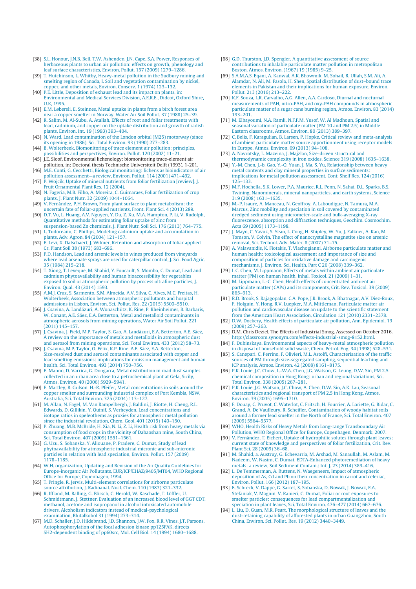- [38] S.L. Honour, J.N.B. Bell, T.W. Ashenden, J.N. Cape, S.A. Power, Responses of herbaceous plants to urban air pollution: effects on growth, phenology and leaf surface characteristics, Environ. Pollut. 157 (2009) 1279–1286.
- [39] T. Hutchinson, L. Whitby, Heavy-metal pollution in the Sudbury mining and smelting region of Canada, I. Soil and vegetation contamination by nickel, copper, and other metals, Environ. Conserv. 1 (1974) 123–132.
- [40] P.E. Little, Deposition of exhaust lead and its impact on plants, in: Environmental and Medical Services Division, A.E.R.E., Didcot, Oxford Shire, U.K, 1995.
- [41] E.M. Løbersli, E. Steinnes, Metal uptake in plants from a birch forest area
- near a copper smelter in Norway, Water Air Soil Pollut. 37 (1988) 25–39. [42] R. Salim, M. Al-Subu, A. Atallah, Effects of root and foliar treatments with lead, cadmium, and copper on the uptake distribution and growth of radish plants, Environ. Int. 19 (1993) 393–404.
- [43] N. Ward, Lead contamination of the London orbital (M25) motorway (since its opening in 1986), Sci. Total Environ. 93 (1990) 277–283.
- [44] B. Wolterbeek, Biomonitoring of trace element air pollution: principles, possibilities and perspectives, Environ. Pollut. 120 (2002) 11–21.
- [45] *J.E. Sloof, Environmental lichenology: biomonitoring trace-element air* pollution, in: Doctoral thesis Technische Universiteit Delft (1993), 1-201.
- [46] M.E. Conti, G. Cecchetti, Biological monitoring: lichens as bioindicators of air pollution assessment—a review, Environ. Pollut. 114 (2001) 471–492. [47] P. Woicik, Untake of mineral nutrients from foliar fertilization [review], J.
- Fruit Ornamental Plant Res. 12 (2004). [48] N. Fageria, M.B. Filho, A. Moreira, C. Guimaraes, Foliar fertilization of crop plants, J. Plant Nutr. 32 (2009) 1044–1064.
- [49] V. Fernández, P.H. Brown, From plant surface to plant metabolism: the uncertain fate of foliar-applied nutrients, Front. Plant Sci. 4 (2013) 289.
- [50] D.T. Vu, L. Huang, A.V. Nguyen, Y. Du, Z. Xu, M.A. Hampton, P. Li, V. Rudolph, Quantitative methods for estimating foliar uptake of zinc from
- suspension-based Zn chemicals, J. Plant Nutr. Soil Sci. 176 (2013) 764–775. [51] L. Tudoreanu, C. Phillips, Modeling cadmium uptake and accumulation in plants, Adv. Agron. 84 (2004) 121–157.
- [52] E. Levi, X. Dalschaert, J. Wilmer, Retention and absorption of foliar applied Cr, Plant Soil 38 (1973) 683–686.
- [53] P.D. Handson, Lead and arsenic levels in wines produced from vineyards where lead arsenate sprays are used for caterpillar control, J. Sci. Food Agric. 35 (1984) 215–218.
- [54] T. Xiong, T. Leveque, M. Shahid, Y. Foucault, S. Mombo, C. Dumat, Lead and cadmium phytoavailability and human bioaccessibility for vegetables exposed to soil or atmospheric pollution by process ultrafine particles, J. Environ. Qual. 43 (2014) 1593.
- [55] A.M.J. Cruz, S. Sarmento, S.M. Almeida, A.V. Silva, C. Alves, M.C. Freitas, H. Wolterbeek, Association between atmospheric pollutants and hospital admissions in Lisbon, Environ. Sci. Pollut. Res. 22 (2015) 5500–5510.
- [56] J. Csavina, A. Landázuri, A. Wonaschütz, K. Rine, P. Rheinheimer, B. Barbaris, W. Conant, A.E. Sáez, E.A. Betterton, Metal and metalloid contaminants in atmospheric aerosols from mining operations, Water Air Soil Pollut. 221 (2011) 145–157.
- [57] J. Csavina, J. Field, M.P. Taylor, S. Gao, A. Landázuri, E.A. Betterton, A.E. Sáez, A review on the importance of metals and metalloids in atmospheric dust and aerosol from mining operations, Sci. Total Environ. 433 (2012) 58–73.
- [58] J. Csavina, M.P. Taylor, O. Félix, K.P. Rine, A.E. Sáez, E.A. Betterton, Size-resolved dust and aerosol contaminants associated with copper and lead smelting emissions: implications for emission management and human health, Sci. Total Environ. 493 (2014) 750–756.
- [59] E. Manno, D. Varrica, G. Dongarra, Metal distribution in road dust samples collected in an urban area close to a petrochemical plant at Gela, Sicily, Atmos. Environ. 40 (2006) 5929–5941.
- [60] E. Martley, B. Gulson, H.-R. Pfeifer, Metal concentrations in soils around the copper smelter and surrounding industrial complex of Port Kembla, NSW, Australia, Sci. Total Environ. 325 (2004) 113–127.
- [61] M. Allan, N. Fagel, M. Van Rampelbergh, J. Baldini, J. Riotte, H. Cheng, R.L. Edwards, D. Gillikin, Y. Quinif, S. Verheyden, Lead concentrations and isotope ratios in speleothems as proxies for atmospheric metal pollution
- since the industrial revolution, Chem. Geol. 401 (2015) 140–150. [62] P. Zhuang, M.B. McBride, H. Xia, N. Li, Z. Li, Health risk from heavy metals via consumption of food crops in the vicinity of Dabaoshan mine, South China, Sci. Total Environ. 407 (2009) 1551–1561.
- [63] G. Uzu, S. Sobanska, Y. Aliouane, P. Pradere, C. Dumat, Study of lead phytoavailability for atmospheric industrial micronic and sub-micronic particles in relation with lead speciation, Environ. Pollut. 157 (2009) 1178–1185.
- [64] W.H. organization, Updating and Revision of the Air Quality Guidelines for Europe-inorganic Air Pollutants, EUR/ICP/EHAZ/9405/MT04, WHO Regional Office for Europe, Copenhagen, 1994.
- [65] T. Pringle, R. Jervis, Multi-element correlations for airborne particulate source attribution, J. Radioanal. Nucl. Chem. 110 (1987) 321–332.
- [66] R. Iffland, M. Balling, G. Börsch, C. Herold, W. Kaschade, T. Löffler, U. Schmidtmann, J. Stettner, Evaluation of an increased blood level of GGT CDT, methanol, acetone and isopropanol in alcohol intoxicated automobile drivers. Alcoholism indicators instead of medical-psychological examination, Blutalkohol 31 (1994) 273–314.
- [67] M.D. Schaller, J.D. Hildebrand, J.D. Shannon, J.W. Fox, R.R. Vines, J.T. Parsons, Autophosphorylation of the focal adhesion kinase pp125FAK, directs SH2-dependent binding of pp60src, Mol. Cell Biol. 14 (1994) 1680–1688.
- [68] G.D. Thurston, J.D. Spengler, A quantitative assessment of source contributions to inhalable particulate matter pollution in metropolitan Boston, Atmos. Environ. (1967) 19 (1985) 9–25.
- [69] S.A.M.A.S. Eqani, A. Kanwal, A.K. Bhowmik, M. Sohail, R. Ullah, S.M. Ali, A. Alamdar, N. Ali, M. Fasola, H. Shen, Spatial distribution of dust–bound trace elements in Pakistan and their implications for human exposure, Environ. Pollut. 213 (2016) 213–222.
- [70] K.F. Souza, L.R. Carvalho, A.G. Allen, A.A. Cardoso, Diurnal and nocturnal measurements of PAH, nitro-PAH, and oxy-PAH compounds in atmospheric particulate matter of a sugar cane burning region, Atmos. Environ. 83 (2014) 193–201.
- [71] M. Elbayoumi, N.A. Ramli, N.F.F.M. Yusof, W. Al Madhoun, Spatial and seasonal variation of particulate matter (PM 10 and PM 2.5) in Middle Eastern classrooms, Atmos. Environ. 80 (2013) 389–397.
- [72] C. Belis, F. Karagulian, B. Larsen, P. Hopke, Critical review and meta-analysis of ambient particulate matter source apportionment using receptor models in Europe, Atmos. Environ. 69 (2013) 94–108. [73] A. Navrotsky, L. Mazeina, J. Majzlan, Size-driven structural and
- 
- thermodynamic complexity in iron oxides, Science 319 (2008) 1635–1638. [74] Y.-M. Chen, J.-b. Gao, Y.-Q. Yuan, J. Ma, S. Yu, Relationship between heavy metal contents and clay mineral properties in surface sediments: implications for metal pollution assessment, Cont. Shelf Res. 124 (2016)
- 125–133. [75] M.F. Hochella, S.K. Lower, P.A. Maurice, R.L. Penn, N. Sahai, D.L. Sparks, B.S. Twining, Nanominerals, mineral nanoparticles, and earth systems, Science 319 (2008) 1631–1635.
- [76] M.-P. Isaure, A. Manceau, N. Geoffroy, A. Laboudigue, N. Tamura, M.A. Marcus, Zinc mobility and speciation in soil covered by contaminated dredged sediment using micrometer-scale and bulk-averaging X-ray fluorescence, absorption and diffraction techniques, Geochim. Cosmochim. Acta 69 (2005) 1173–1198.
- [77] J. Mayo, C. Yavuz, S. Yean, L. Cong, H. Shipley, W. Yu, J. Falkner, A. Kan, M. Tomson, V. Colvin, The effect of nanocrystalline magnetite size on arsenic removal, Sci. Technol. Adv. Mater. 8 (2007) 71–75.
- [78] A. Valavanidis, K. Fiotakis, T. Vlachogianni, Airborne particulate matter and human health: toxicological assessment and importance of size and composition of particles for oxidative damage and carcinogenic mechanisms, J. Environ. Sci. Health, Part C 26 (2008) 339–362.
- [79] L.C. Chen, M. Lippmann, Effects of metals within ambient air particulate matter (PM) on human health, Inhal. Toxicol. 21 (2009) 1–31.
- [80] M. Lippmann, L.-C. Chen, Health effects of concentrated ambient air particulate matter (CAPs) and its components, Crit. Rev. Toxicol. 39 (2009) 865–913.
- [81] R.D. Brook, S. Rajagopalan, C.A. Pope, J.R. Brook, A. Bhatnagar, A.V. Diez-Roux, F. Holguin, Y. Hong, R.V. Luepker, M.A. Mittleman, Particulate matter air pollution and cardiovascular disease an update to the scientific statement from the American Heart Association, Circulation 121 (2010) 2331–2378.
- [82] D.W. Dockery, Health effects of particulate air pollution, Ann. Epidemiol. 19 (2009) 257–263.
- [83] D.M. Chris Deziel, The Effects of Industrial Smog. Assessed on October 2016. http://classroom.synonym.com/effects-industrial-smog-8152.html.
- [84] F. Dubinskaya, Environmental aspects of heavy-metal atmospheric pollution in disposal of household solid waste, Chem. Petrol. Eng. 34 (1998) 528–531.
- [85] S. Canepari, C. Perrino, F. Olivieri, M.L. Astolfi, Characterisation of the traffic sources of PM through size-segregated sampling, sequential leaching and ICP analysis, Atmos. Environ. 42 (2008) 8161–8175.
- [86] P.K. Louie, J.C. Chow, L.-W.A. Chen, J.G. Watson, G. Leung, D.W. Sin, PM 2.5 chemical composition in Hong Kong: urban and regional variations, Sci.
- Total Environ. 338 (2005) 267–281. [87] P.K. Louie, J.G. Watson, J.C. Chow, A. Chen, D.W. Sin, A.K. Lau, Seasonal characteristics and regional transport of PM 2.5 in Hong Kong, Atmos. Environ. 39 (2005) 1695–1710.
- [88] F. Douay, C. Pruvot, C. Waterlot, C. Fritsch, H. Fourrier, A. Loriette, G. Bidar, C. Grand, A. De Vaufleury, R. Scheifler, Contamination of woody habitat soils around a former lead smelter in the North of France, Sci. Total Environ. 407 (2009) 5564–5577.
- [89] WHO, Health Risks of Heavy Metals from Long-range Transboundary Air Pollution, WHO Regional Office for Europe, Copenhagen, Denmark, 2007.
- [90] V. Fernández, T. Eichert, Uptake of hydrophilic solutes through plant leaves: current state of knowledge and perspectives of foliar fertilization, Crit. Rev. Plant Sci. 28 (2009) 36–68.
- [91] M. Shahid, a. Austruy, G. Echevarria, M. Arshad, M. Sanaullah, M. Aslam, M. Nadeem, W. Nasim, C. Dumat, EDTA-Enhanced phytoremediation of heavy metals: a review, Soil Sediment Contam.: Int. J. 23 (2014) 389–416.
- [92] L. De Temmerman, A. Ruttens, N. Waegeneers, Impact of atmospheric deposition of As, Cd and Pb on their concentration in carrot and celeriac, Environ. Pollut. 166 (2012) 187–195.
- [93] E. Schreck, V. Dappe, G. Sarret, S. Sobanska, D. Nowak, J. Nowak, E.A. Stefaniak, V. Magnin, V. Ranieri, C. Dumat, Foliar or root exposures to smelter particles: consequences for lead compartmentalization and speciation in plant leaves, Sci. Total Environ. 476–477 (2014) 667–676.
- [94] L. Liu, D. Guan, M.R. Peart, The morphological structure of leaves and the dust-retaining capability of afforested plants in urban Guangzhou, South China, Environ. Sci. Pollut. Res. 19 (2012) 3440–3449.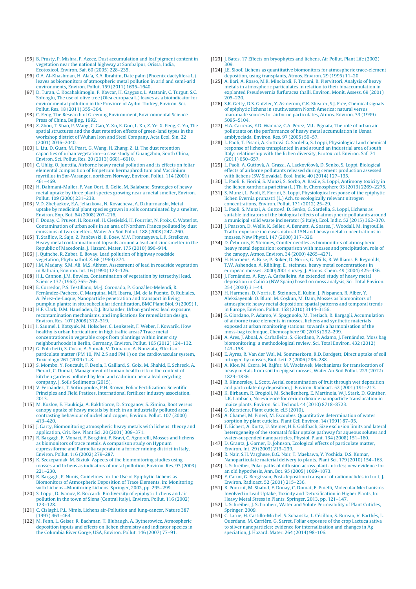- [95] B. Prusty, P. Mishra, P. Azeez, Dust accumulation and leaf pigment content in vegetation near the national highway at Sambalpur, Orissa, India, Ecotoxicol. Environ. Saf. 60 (2005) 228–235.
- [96] O.A. Al-Khashman, H. Ala'a, K.A. Ibrahim, Date palm (Phoenix dactylifera L.) leaves as biomonitors of atmospheric metal pollution in arid and semi-arid environments, Environ. Pollut. 159 (2011) 1635–1640.
- [97] D. Turan, C. Kocahakimoglu, P. Kavcar, H. Gaygısız, L. Atatanir, C. Turgut, S.C. Sofuoglu, The use of olive tree (Olea europaea L.) leaves as a bioindicator for environmental pollution in the Province of Aydın, Turkey, Environ. Sci. Pollut. Res. 18 (2011) 355–364.
- [98] C. Feng, The Research of Greening Environment, Environmental Science Press of China, Beijing, 1992.
- [99] Z. Zhou, T. Shao, P. Wang, C. Gao, Y. Xu, E. Guo, L. Xu, Z. Ye, X. Peng, C. Yu, The spatial structures and the dust retention effects of green-land types in the workshop district of Wuhan Iron and Steel Company, Acta Ecol. Sin. 22 (2001) 2036–2040.
- [100] L. Liu, D. Guan, M. Peart, G. Wang, H. Zhang, Z. Li, The dust retention capacities of urban vegetation—a case study of Guangzhou, South China, Environ. Sci. Pollut. Res. 20 (2013) 6601–6610.
- [101] C. Uhlig, O. Junttila, Airborne heavy metal pollution and its effects on foliar elemental composition of Empetrum hermaphroditum and Vaccinium myrtillus in Sør-Varanger, northern Norway, Environ. Pollut. 114 (2001) 461–469.
- [102] H. Dahmani-Muller, F. Van Oort, B. Gelie, M. Balabane, Strategies of heavy metal uptake by three plant species growing near a metal smelter, Environ. Pollut. 109 (2000) 231–238.
- [103] V.D. Zheljazkov, E.A. Jeliazkova, N. Kovacheva, A. Dzhurmanski, Metal uptake by medicinal plant species grown in soils contaminated by a smelter, Environ. Exp. Bot. 64 (2008) 207–216.
- [104] F. Douay, C. Pruvot, H. Roussel, H. Ciesielski, H. Fourrier, N. Proix, C. Waterlot, Contamination of urban soils in an area of Northern France polluted by dust emissions of two smelters, Water Air Soil Pollut. 188 (2008) 247–260.
- [105] T. Stafilov, R. Šajn, Z. Pančevski, B. Boev, M.V. Frontasyeva, L.P. Strelkova Heavy metal contamination of topsoils around a lead and zinc smelter in the
- Republic of Macedonia, J. Hazard. Mater. 175 (2010) 896–914. [106] J. Quinche, R. Zuber, E. Bovay, Lead pollution of highway roadside vegetation, Phytopathol. Z. 66 (1969) 274.
- [107] I.M. Madany, S.M. Ali, M.S. Akhter, Assessment of lead in roadside vegetation in Bahrain, Environ. Int. 16 (1990) 123–126.
- [108] H.L. Cannon, J.M. Bowles, Contamination of vegetation by tetraethyl lead, Science 137 (1962) 765–766.
- [109] E. Corredor, P.S. Testillano, M.-J. Coronado, P. González-Melendi, R. Fernández-Pacheco, C. Marquina, M.R. Ibarra, J.M. de la Fuente, D. Rubiales, A. Pérez-de-Luque, Nanoparticle penetration and transport in living pumpkin plants: in situ subcellular identification, BMC Plant Biol. 9 (2009) 1.
- [110] H.F. Clark, D.M. Hausladen, D.J. Brabander, Urban gardens: lead exposure, recontamination mechanisms, and implications for remediation design, Environ. Res. 107 (2008) 312–319.
- [111] I. Säumel, I. Kotsyuk, M. Hölscher, C. Lenkereit, F. Weber, I. Kowarik, How healthy is urban horticulture in high traffic areas? Trace metal concentrations in vegetable crops from plantings within inner city neighbourhoods in Berlin, Germany, Environ. Pollut. 165 (2012) 124–132.
- [112] G. Polichetti, S. Cocco, A. Spinali, V. Trimarco, A. Nunziata, Effects of particulate matter (PM 10, PM 2.5 and PM 1) on the cardiovascular system, Toxicology 261 (2009) 1–8.
- [113] S. Mombo, Y. Foucault, F. Deola, I. Gaillard, S. Goix, M. Shahid, E. Schreck, A. Pierart, C. Dumat, Management of human health risk in the context of kitchen gardens polluted by lead and cadmium near a lead recycling company, J. Soils Sediments (2015).
- [114] V. Fernández, T. Sotiropoulos, P.H. Brown, Foliar Fertilization: Scientific Principles and Field Pratices, International fertilizer industry association, 2013.
- [115] M. Kozlov, E. Haukioja, A. Bakhtiarov, D. Stroganov, S. Zimina, Root versus canopy uptake of heavy metals by birch in an industrially polluted area: contrasting behaviour of nickel and copper, Environ. Pollut. 107 (2000) 413–420.
- [116] J. Garty, Biomonitoring atmospheric heavy metals with lichens: theory and application, Crit. Rev. Plant Sci. 20 (2001) 309–371.
- [117] R. Bargagli, F. Monaci, F. Borghini, F. Bravi, C. Agnorelli, Mosses and lichens as biomonitors of trace metals. A comparison study on Hypnum cupressiforme and Parmelia caperata in a former mining district in Italy,
- Environ. Pollut. 116 (2002) 279–287. [118] K. Szczepaniak, M. Biziuk, Aspects of the biomonitoring studies using mosses and lichens as indicators of metal pollution, Environ. Res. 93 (2003) 221–230.
- [119] R. Bargagli, P. Nimis, Guidelines for the Use of Epiphytic Lichens as Biomonitors of Atmospheric Deposition of Trace Elements, In: Monitoring
- with Lichens—Monitoring Lichens, Springer, 2002, pp. 295–299. [120] S. Loppi, D. Ivanov, R. Boccardi, Biodiversity of epiphytic lichens and air pollution in the town of Siena (Central Italy), Environ. Pollut. 116 (2002) 123–128.
- [121] C. Cislaghi, P.L. Nimis, Lichens air-Pollution and lung-cancer, Nature 387 (1997) 463–464.
- [122] M. Fenn, L. Geiser, R. Bachman, T. Blubaugh, A. Bytnerowicz, Atmospheric deposition inputs and effects on lichen chemistry and indicator species in the Columbia River Gorge, USA, Environ. Pollut. 146 (2007) 77–91.
- [123] J. Bates, 17 Effects on bryophytes and lichens, Air Pollut. Plant Life (2002) 309.
- [124] J.E. Sloof, Lichens as quantitative biomonitors for atmospheric trace-element deposition, using transplants, Atmos. Environ. 29 (1995) 11–20. [125] A. Bari, A. Rosso, M.R. Minciardi, F. Troiani, R. Piervittori, Analysis of heavy
- metals in atmospheric particulates in relation to their bioaccumulation in explanted Pseudevernia furfuracea thalli, Environ. Monit. Assess. 69 (2001) 205–220.
- [126] S.R. Getty, D.S. Gutzler, Y. Asmerom, C.K. Shearer, S.J. Free, Chemical signals of epiphytic lichens in southwestern North America; natural versus man-made sources for airborne particulates, Atmos. Environ. 33 (1999) 5095–5104.
- [127] H.A. Carreras, E.D. Wannaz, C.A. Perez, M.L. Pignata, The role of urban air pollutants on the performance of heavy metal accumulation in Usnea amblyoclada, Environ. Res. 97 (2005) 50–57.
- [128] L. Paoli, T. Pisani, A. Guttová, G. Sardella, S. Loppi, Physiological and chemical response of lichens transplanted in and around an industrial area of south Italy: relationship with the lichen diversity, Ecotoxicol. Environ. Saf. 74 (2011) 650–657.
- [129] L. Paoli, A. Guttová, A. Grassi, A. Lackovičová, D. Senko, S. Loppi, Biological effects of airborne pollutants released during cement production assessed with lichens (SW Slovakia), Ecol. Indic. 40 (2014) 127–135.
- [130] L. Paoli, E. Fiorini, S. Munzi, S. Sorbo, A. Basile, S. Loppi, Antimony toxicity in the lichen xanthoria parietina (L.) Th. fr, Chemosphere 93 (2013) 2269–2275.
- [131] S. Munzi, L. Paoli, E. Fiorini, S. Loppi, Physiological response of the epiphytic lichen Evernia prunastri (L.) Ach. to ecologically relevant nitrogen concentrations, Environ. Pollut. 171 (2012) 25–29.
- [132] L. Paoli, S. Munzi, A. Guttová, D. Senko, G. Sardella, S. Loppi, Lichens as suitable indicators of the biological effects of atmospheric pollutants around
- a municipal solid waste incinerator (S Italy), Ecol. Indic. 52 (2015) 362–370. [133] J. Pearson, D. Wells, K. Seller, A. Bennett, A. Soares, J. Woodall, M. Ingrouille, Traffic exposure increases natural 15N and heavy metal concentrations in mosses, New Phytol. 147 (2000) 317–326.
- [134] D. Čeburnis, E. Steinnes, Conifer needles as biomonitors of atmospheric heavy metal deposition: comparison with mosses and precipitation, role of the canopy, Atmos. Environ. 34 (2000) 4265–4271.
- [135] H. Harmens, A. Buse, P. Büker, D. Norris, G. Mills, B. Williams, B. Reynolds, T.W. Ashenden, Å. Rühling, E., steinnes, heavy metal concentrations in european mosses: 2000/2001 survey, J. Atmos. Chem. 49 (2004) 425–436.
- [136] J. Fernández, A. Rey, A. Carballeira, An extended study of heavy metal deposition in Galicia (NW Spain) based on moss analysis, Sci. Total Environ. 254 (2000) 31–44.
- [137] H. Harmens, D. Norris, E. Steinnes, E. Kubin, J. Piispanen, R. Alber, Y. Aleksiayenak, O. Blum, M. Cos¸ kun, M. Dam, Mosses as biomonitors of atmospheric heavy metal deposition: spatial patterns and temporal trends in Europe, Environ. Pollut. 158 (2010) 3144–3156.
- [138] S. Giordano, P. Adamo, V. Spagnuolo, M. Tretiach, R. Bargagli, Accumulation of airborne trace elements in mosses, lichens and synthetic materials exposed at urban monitoring stations: towards a harmonisation of the moss-bag technique, Chemosphere 90 (2013) 292–299.
- [139] A. Ares, J. Aboal, A. Carballeira, S. Giordano, P. Adamo, J. Fernández, Moss bag biomonitoring: a methodological review, Sci. Total Environ. 432 (2012) 143–158.
- [140] E. Ayres, R. Van der Wal, M. Sommerkorn, R.D. Bardgett, Direct uptake of soil nitrogen by mosses, Biol. Lett. 2 (2006) 286–288.
- [141] A. Kłos, M. Czora, M. Rajfur, M. Wacławek, Mechanisms for translocation of heavy metals from soil to epigeal mosses, Water Air Soil Pollut. 223 (2012) 1829–1836.
- [142] R. Kinnersley, L. Scott, Aerial contamination of fruit through wet deposition and particulate dry deposition, J. Environ. Radioact. 52 (2001) 191–213.
- [143] K. Birbaum, R. Brogioli, M. Schellenberg, E. Martinoia, W.J. Stark, D. Günther, L.K. Limbach, No evidence for cerium dioxide nanoparticle translocation in maize plants, Environ. Sci. Technol. 44 (2010) 8718–8723.
- [144] G. Kerstiens, Plant cuticle, eLS (2010).
- [145] A. Chamel, M. Pineri, M. Escoubes, Quantitative determination of water sorption by plant cuticles, Plant Cell Environ. 14 (1991) 87–95.
- [146] T. Eichert, A. Kurtz, U. Steiner, H.E. Goldbach, Size exclusion limits and lateral heterogeneity of the stomatal foliar uptake pathway for aqueous solutes and water-suspended nanoparticles, Physiol. Plant. 134 (2008) 151–160.
- [147] D. Grantz, J. Garner, D. Johnson, Ecological effects of particulate matter, Environ. Int. 29 (2003) 213–239.
- [148] R. Nair, S.H. Varghese, B.G. Nair, T. Maekawa, Y. Yoshida, D.S. Kumar, Nanoparticulate material delivery to plants, Plant Sci. 179 (2010) 154–163.
- [149] L. Schreiber, Polar paths of diffusion across plant cuticles: new evidence for an old hypothesis, Ann. Bot. 95 (2005) 1069–1073.
- [150] F. Carini, G. Bengtsson, Post-deposition transport of radionuclides in fruit, J. Environ. Radioact. 52 (2001) 215–236. [151] B. Pourrut, M. Shahid, F. Douay, C. Dumat, E. Pinelli, Molecular Mechanisms
- Involved in Lead Uptake, Toxicity and Detoxification in Higher Plants, In: Heavy Metal Stress in Plants, Springer, 2013, pp. 121–147.
- [152] L. Schreiber, J. Schonherr, Water and Solute Permeability of Plant Cuticles, Springer, 2009.
- [153] C. Larue, H. Castillo-Michel, S. Sobanska, L. Cécillon, S. Bureau, V. Barthès, L. Ouerdane, M. Carrière, G. Sarret, Foliar exposure of the crop Lactuca sativa to silver nanoparticles: evidence for internalization and changes in Ag speciation, J. Hazard. Mater. 264 (2014) 98–106.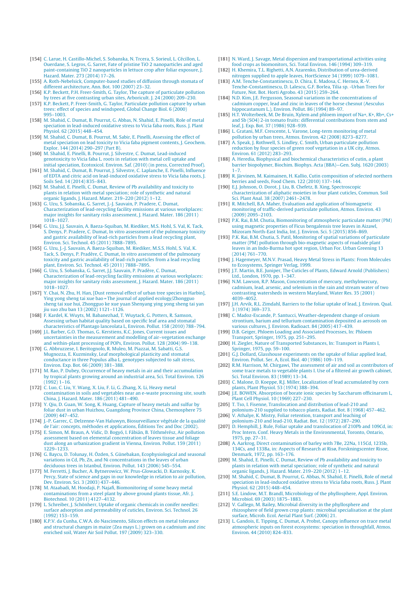- [154] C. Larue, H. Castillo-Michel, S. Sobanska, N. Trcera, S. Sorieul, L. Cécillon, L. Ouerdane, S. Legros, G. Sarret, Fate of pristine TiO 2 nanoparticles and aged paint-containing TiO 2 nanoparticles in lettuce crop after foliar exposure, J. Hazard. Mater. 273 (2014) 17–26.
- [155] A. Roth-Nebelsick, Computer-based studies of diffusion through stomata of different architecture, Ann. Bot. 100 (2007) 23–32.
- [156] K.P. Beckett, P.H. Freer-Smith, G. Taylor, The capture of particulate pollution by trees at five contrasting urban sites, Arboricult. J. 24 (2000) 209–230.
- [157] K.P. Beckett, P. Freer-Smith, G. Taylor, Particulate pollution capture by urban trees: effect of species and windspeed, Global Change Biol. 6 (2000) 995–1003.
- [158] M. Shahid, C. Dumat, B. Pourrut, G. Abbas, N. Shahid, E. Pinelli, Role of metal speciation in lead-induced oxidative stress to Vicia faba roots, Russ. J. Plant Physiol. 62 (2015) 448–454.
- [159] M. Shahid, C. Dumat, B. Pourrut, M. Sabir, E. Pinelli, Assessing the effect of metal speciation on lead toxicity to Vicia faba pigment contents, J. Geochem. Explor. 144 (2014) 290–297 (Part B).
- [160] M. Shahid, E. Pinelli, B. Pourrut, J. Silvestre, C. Dumat, Lead-induced genotoxicity to Vicia faba L. roots in relation with metal cell uptake and initial speciation, Ecotoxicol. Environ. Saf. (2010) (in press, Corrected Proof).
- [161] M. Shahid, C. Dumat, B. Pourrut, J. Silvestre, C. Laplanche, E. Pinelli, Influence of EDTA and citric acid on lead-induced oxidative stress to Vicia faba roots, J. Soils Sed. 14 (2014) 835–843.
- [162] M. Shahid, E. Pinelli, C. Dumat, Review of Pb availability and toxicity to plants in relation with metal speciation; role of synthetic and natural organic ligands, J. Hazard. Mater. 219–220 (2012) 1–12.
- [163] G. Uzu, S. Sobanska, G. Sarret, J.-J. Sauvain, P. Pradere, C. Dumat, Characterization of lead-recycling facility emissions at various workplaces: major insights for sanitary risks assessment, J. Hazard. Mater. 186 (2011) 1018–1027.
- [164] G. Uzu, J.J. Sauvain, A. Baeza-Squiban, M. Riediker, M.S. Hohl, S. Val, K. Tack, S. Denys, P. Pradere, C. Dumat, In vitro assessment of the pulmonary toxicity and gastric availability of lead-rich particles from a lead recycling plant, Environ. Sci. Technol. 45 (2011) 7888–7895.
- [165] G. Uzu, J.-J. Sauvain, A. Baeza-Squiban, M. Riediker, M.S.S. Hohl, S. Val, K. Tack, S. Denys, P. Pradère, C. Dumat, In vitro assessment of the pulmonary toxicity and gastric availability of lead-rich particles from a lead recycling plant, Environ. Sci. Technol. 45 (2011) 7888–7895.
- [166] G. Uzu, S. Sobanska, G. Sarret, J.J. Sauvain, P. Pradère, C. Dumat, Characterization of lead-recycling facility emissions at various workplaces: major insights for sanitary risks assessment, J. Hazard. Mater. 186 (2011) 1018–1027.
- [167] Y. Chai, N. Zhu, H. Han, [Dust removal effect of urban tree species in Harbin], Ying yong sheng tai xue bao = The journal of applied ecology/Zhongguo sheng tai xue hui, Zhongguo ke xue yuan Shenyang ying yong sheng tai yan jiu suo zhu ban 13 (2002) 1121–1126.
- [168] F. Kardel, K. Wuyts, M. Babanezhad, T. Wuytack, G. Potters, R. Samson, Assessing urban habitat quality based on specific leaf area and stomatal characteristics of Plantago lanceolata L, Environ. Pollut. 158 (2010) 788–794.
- [169] J.L. Barber, G.O. Thomas, G. Kerstiens, K.C. Jones, Current issues and uncertainties in the measurement and modelling of air–vegetation exchange and within-plant processing of POPs, Environ. Pollut. 128 (2004) 99–138.
- [170] G. Abbruzzese, I. Beritognolo, R. Muleo, M. Piazzai, M. Sabatti, G.S. Mugnozza, E. Kuzminsky, Leaf morphological plasticity and stomatal conductance in three Populus alba L. genotypes subjected to salt stress, Environ. Exp. Bot. 66 (2009) 381–388.
- [171] M. Rao, P. Dubey, Occurrence of heavy metals in air and their accumulation by tropical plants growing around an industrial area, Sci. Total Environ. 126 (1992) 1–16.
- [172] C. Luo, C. Liu, Y. Wang, X. Liu, F. Li, G. Zhang, X. Li, Heavy metal contamination in soils and vegetables near an e-waste processing site, south China, J. Hazard. Mater. 186 (2011) 481–490.
- [173] Y. Qiu, D. Guan, W. Song, K. Huang, Capture of heavy metals and sulfur by foliar dust in urban Huizhou, Guangdong Province China, Chemosphere 75 (2009) 447–452.
- [174] J.-P. Garrec, C. Delzenne-Van Haluwyn, Biosurveillance végétale de la qualité de l'air: concepts, méthodes et applications, Éditions Tec and Doc (2002).
- [175] E. Simon, M. Braun, A. Vidic, D. Bogyó, I. Fábián, B. Tóthmérész, Air pollution assessment based on elemental concentration of leaves tissue and foliage dust along an urbanization gradient in Vienna, Environ. Pollut. 159 (2011) 1229–1233.
- [176] G. Baycu, D. Tolunay, H. Özden, S. Günebakan, Ecophysiological and seasonal variations in Cd, Pb, Zn, and Ni concentrations in the leaves of urban deciduous trees in Istanbul, Environ. Pollut. 143 (2006) 545–554.
- [177] M. Ferretti, J. Bucher, A. Bytnerowicz, W. Prus-Glowacki, D. Karnosky, K. Percy, State of science and gaps in our knowledge in relation to air pollution,
- Dev. Environ. Sci. 3 (2003) 437–446. [178] M. Ataabadi, M. Hoodaji, P. Najafi, Biomonitoring of some heavy metal contaminations from a steel plant by above ground plants tissue, Afr. J. Biotechnol. 10 (2011) 4127–4132.
- [179] L. Schreiber, J. Schönherr, Uptake of organic chemicals in conifer needles: surface adsorption and permeability of cuticles, Environ. Sci. Technol. 26 (1992) 153–159.
- [180] K.P.V. da Cunha, C.W.A. do Nascimento, Silicon effects on metal tolerance and structural changes in maize (Zea mays L.) grown on a cadmium and zinc enriched soil, Water Air Soil Pollut. 197 (2009) 323–330.
- [181] N. Ward, J. Savage, Metal dispersion and transportational activities using food crops as biomonitors, Sci. Total Environ. 146 (1994) 309–319.
- [182] H. Khemira, T.L. Righetti, A.N. Azarenko, Distribution of urea-derived nitrogen supplied to apple leaves, HortScience 34 (1999) 1079–1081.
- [183] A.M. Tenche-Constantinescu, D. Chira, E. Madosa, C. Hernea, R.-V. Tenche-Constantinescu, D. Lalescu, G.F. Borlea, Tilia sp. -Urban Trees for Future, Not. Bot. Horti Agrobo. 43 (2015) 259–264.
- [184] N.D. Kim, J.E. Fergusson, Seasonal variations in the concentrations of cadmium copper, lead and zinc in leaves of the horse chesnut (Aesculus hippocastanum L.), Environ. Pollut. 86 (1994) 89–97.
- [185] H.T. Wolterbeek, M. De Bruin, Xylem and phloem import of Na+, K+, Rb+, Cs+ and Sb (SO4) 2-in tomato fruits: differential contributions from stem and leaf, J. Exp. Bot. 37 (1986) 928–939.
- [186] L. Gratani, M.F. Crescente, L. Varone, Long-term monitoring of metal pollution by urban trees, Atmos. Environ. 42 (2008) 8273–8277.
- [187] A. Speak, J. Rothwell, S. Lindley, C. Smith, Urban particulate pollution reduction by four species of green roof vegetation in a UK city, Atmos. Environ. 61 (2012) 283–293.
- [188] A. Heredia, Biophysical and biochemical characteristics of cutin, a plant barrier biopolymer, Biochim. Biophys. Acta (BBA)—Gen. Subj. 1620 (2003) 1–7.
- [189] R. Järvinen, M. Kaimainen, H. Kallio, Cutin composition of selected northern berries and seeds, Food Chem. 122 (2010) 137–144.
- [190] E.J. Johnson, O. Dorot, J. Liu, B. Chefetz, B. Xing, Spectroscopic characterization of aliphatic moieties in four plant cuticles, Commun. Soil Sci. Plant Anal. 38 (2007) 2461–2478.
- [191] R. Mitchell, B.A. Maher, Evaluation and application of biomagnetic monitoring of traffic-derived particulate pollution, Atmos. Environ. 43 (2009) 2095–2103.
- [192] P.K. Rai, B.M. Chutia, Biomonitoring of atmospheric particulate matter (PM) using magnetic properties of Ficus bengalensis tree leaves in Aizawl, Mizoram North-East India, Int. J. Environ. Sci. 5 (2015) 856–869.
- [193] P.K. Rai, B.M. Chutia, S. Patil, Monitoring of spatial variations of particulate matter (PM) pollution through bio-magnetic aspects of roadside plant leaves in an Indo-Burma hot spot region, Urban For. Urban Greening 13 (2014) 761–770.
- [194] J. Hagemeyer, M.N.V. Prasad, Heavy Metal Stress in Plants: From Molecules to Ecosystems, Springer Verlag, 1999.
- [195] J.T. Martin, B.E. Juniper, The Cuticles of Plants, Edward Arnold (Publishers) Ltd., London, 1970, pp. 1–347.
- [196] N.M. Lawson, R.P. Mason, Concentration of mercury, methylmercury, cadmium, lead, arsenic, and selenium in the rain and stream water of two contrasting watersheds in western Maryland, Water Res. 35 (2001) 4039–4052.
- [197] J.H. Arvik, R.L. Zimdahl, Barriers to the foliar uptake of lead, J. Environ. Qual. 3 (1974) 369–373.
- [198] C. Madoz-Escande, P. Santucci, Weather-dependent change of cesium strontium, barium and tellurium contamination deposited as aerosols on various cultures, J. Environ. Radioact. 84 (2005) 417–439.
- [199] D.B. Geiger, Phloem Loading and Associated Processes, In: Phloem Transport, Springer, 1975, pp. 251–295.
- [200] H. Ziegler, Nature of Transported Substances, In: Transport in Plants I, Springer, 1975, pp. 59–100.
- [201] G.J. Dollard, Glasshouse experiments on the uptake of foliar applied lead, Environ. Pollut. Ser. A, Ecol. Biol. 40 (1986) 109–119.
- [202] R.M. Harrison, M. Chirgawi, The assessment of air and soil as contributors of some trace metals to vegetable plants I. Use of a filtered air growth cabinet, Sci. Total Environ. 83 (1989) 13–34.
- [203] C. Malone, D. Koeppe, R.J. Miller, Localization of lead accumulated by corn plants, Plant Physiol. 53 (1974) 388–394.
- [204] J.E. BOWEN, Absorption of borate ionic species by Saccharum officinarum L, Plant Cell Physiol. 10 (1969) 227–230. [205] T. Tso, I. Fisenne, Translocation and distribution of lead-210 and
- polonium-210 supplied to tobacco plants, Radiat. Bot. 8 (1968) 457–462. [206] V. Athalye, K. Mistry, Foliar retention, transport and leaching of
- polonium-210 and lead-210, Radiat. Bot. 12 (1972) 287–290. [207] D. Hemphill, J. Rule, Foliar uptake and translocation of 210Pb and 109Cd, in: Proc Intern. Conf. Heavy Metals in the Environmental, Toronto, Ontario, 1975, pp. 27–31.
- [208] A. Aarkrog, Direct contamination of barley with 7Be, 22Na, 115Cd, 123Sb, 134Cs, and 133Ba, in: Aspects of Research at Risø, Forskningscenter Risoe,
- Denmark, 1972, pp. 163–176. [209] M. Shahid, E. Pinelli, C. Dumat, Review of Pb availability and toxicity to plants in relation with metal speciation; role of synthetic and natural organic ligands, J. Hazard. Mater. 219–220 (2012) 1–12.
- [210] M. Shahid, C. Dumat, B. Pourrut, G. Abbas, N. Shahid, E. Pinelli, Role of metal speciation in lead-induced oxidative stress to Vicia faba roots, Russ. J. Plant Physiol. 62 (2015) 448–454.
- [211] S.E. Lindow, M.T. Brandl, Microbiology of the phyllosphere, Appl. Environ. Microbiol. 69 (2003) 1875–1883.
- [212] V. Gallego, M. Bailey, Microbial diversity in the phyllosphere and rhizosphere of field grown crop plants: microbial specialisation at the plant surface, Microb. Ecol. Aerial Plant Surf. (2006) 21.
- [213] L. Gandois, E. Tipping, C. Dumat, A. Probst, Canopy influence on trace metal atmospheric inputs on forest ecosystems: speciation in throughfall, Atmos. Environ. 44 (2010) 824–833.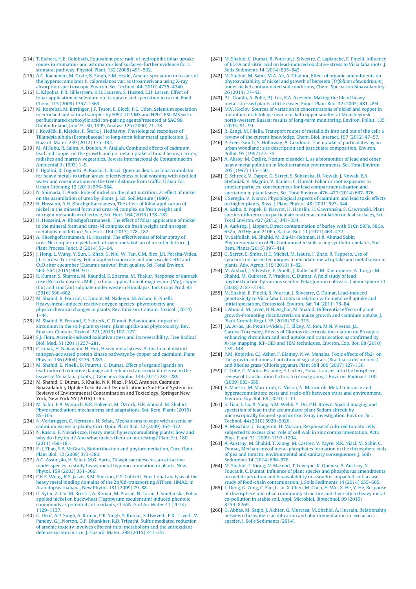- [214] T. Eichert, H.E. Goldbach, Equivalent pore radii of hydrophilic foliar uptake routes in stomatous and astomatous leaf surfaces–further evidence for a stomatal pathway, Physiol. Plant. 132 (2008) 491–502.
- [215] A.G. Kachenko, M. Gräfe, B. Singh, S.M. Heald, Arsenic speciation in tissues of the hyperaccumulator P. calomelanos var. austroamericana using X-ray absorption spectroscopy, Environ. Sci. Technol. 44 (2010) 4735–4740.
- [216] E. Kápolna, P.R. Hillestrøm, K.H. Laursen, S. Husted, E.H. Larsen, Effect of foliar application of selenium on its uptake and speciation in carrot, Food Chem. 115 (2009) 1357–1363.
- [217] M. Kotrebai, M. Birringer, J.F. Tyson, E. Block, P.C. Uden, Selenium speciation in enriched and natural samples by HPLC-ICP-MS and HPLC-ESI–MS with perfluorinated carboxylic acid ion-pairing agentsPresented at SAC 99, Dublin Ireland, July 25–30, 1999, Analyst 125 (2000) 71–78.
- [218] J. Kováčik, B. Klejdus, F. Štork, J. Hedbavny, Physiological responses of Tillandsia albida (Bromeliaceae) to long-term foliar metal application, J. Hazard. Mater. 239 (2012) 175–182.
- [219] M. Al Subu, R. Salim, A. Douleh, A. Atallah, Combined effects of cadmium lead and copper on the growth and on metal uptake of broad beans, carrots, radishes and marrow vegetables, Revista Internacional de Contaminación Ambiental 9 (1993) 1–9.
- [220] F. Ugolini, R. Tognetti, A. Raschi, L. Bacci, Quercus ilex L. as bioaccumulator for heavy metals in urban areas: effectiveness of leaf washing with distilled water and considerations on the trees distance from traffic, Urban For. Urban Greening 12 (2013) 576–584.
- [221] N. Shimada, T. Ando, Role of nickel on the plant nutrition, 2: effect of nickel on the assimilation of urea by plants, J. Sci. Soil Manure (1980).
- [222] H. Hosseini, A.H. Khoshgoftarmanesh, The effect of foliar application of nickel in the mineral form and urea-Ni complex on fresh weight and nitrogen metabolism of lettuce, Sci. Hort. 164 (2013) 178–182.
- [223] H. Hosseini, A. Khoshgoftarmanesh, The effect of foliar application of nickel in the mineral form and urea-Ni complex on fresh weight and nitrogen metabolism of lettuce, Sci. Hort. 164 (2013) 178–182.
- [224] A. Khoshgoftarmanesh, H. Hosseini, The effectiveness of foliar spray of urea-Ni complex on yield and nitrogen metabolism of urea-fed lettuce, J. Plant Process Funct. 2 (2014) 53–64. [225] J. Hong, L. Wang, Y. Sun, L. Zhao, G. Niu, W. Tan, C.M. Rico, J.R. Peralta-Videa,
- J.L. Gardea-Torresdey, Foliar applied nanoscale and microscale CeO2 and CuO alter cucumber (Cucumis sativus) fruit quality, Sci. Total Environ. 563–564 (2015) 904–911.
- [226] R. Kumar, S. Sharma, M. Kaundal, S. Sharma, M. Thakur, Response of damask rose (Rosa damascena Mill.) to foliar application of magnesium (Mg), copper (Cu) and zinc (Zn) sulphate under western Himalayas, Ind. Crops Prod. 83  $(2016) 596 - 602.$
- [227] M. Shahid, B. Pourrut, C. Dumat, M. Nadeem, M. Aslam, E. Pinelli, Heavy-metal-induced reactive oxygen species: phytotoxicity and physicochemical changes in plants, Rev. Environ. Contam. Toxicol. (2014)  $1 - 44$
- [228] M. Shahid, E. Ferrand, E. Schreck, C. Dumat, Behavior and impact of zirconium in the soil–plant system: plant uptake and phytotoxicity, Rev. Environ. Contam. Toxicol. 221 (2013) 107–127.
- [229] S.J. Flora, Arsenic-induced oxidative stress and its reversibility, Free Radical Biol. Med. 51 (2011) 257–281.
- [230] C. Jonak, H. Nakagami, H. Hirt, Heavy metal stress. Activation of distinct mitogen-activated protein kinase pathways by copper and cadmium, Plant Physiol. 136 (2004) 3276–3283.
- [231] M. Shahid, E. Pinelli, B. Pourrut, C. Dumat, Effect of organic ligands on lead-induced oxidative damage and enhanced antioxidant defense in the leaves of Vicia faba plants, J. Geochem. Explor. 144 (2014) 282–289.
- [232] M. Shahid, C. Dumat, S. Khalid, N.K. Niazi, P.M.C. Antunes, Cadmium Bioavailability Uptake Toxicity and Detoxification in Soil-Plant System, in: Reviews of Environmental Contamination and Toxicology, Springer New York, New York NY (2016) 1–65.
- [233] M. Sabir, E.A. Waraich, K.R. Hakeem, M. Öztürk, H.R. Ahmad, M. Shahid, Phytoremediation: mechanisms and adaptations, Soil Rem. Plants (2015) 85–105.
- [234] N. Verbruggen, C. Hermans, H. Schat, Mechanisms to cope with arsenic or cadmium excess in plants, Curr. Opin. Plant Biol. 12 (2009) 364–372.
- [235] N. Rascio, F. Navari-Izzo, Heavy metal hyperaccumulating plants: how and why do they do it? And what makes them so interesting? Plant Sci. 180 (2011) 169–181.
- [236] F.-J. Zhao, S.P. McGrath, Biofortification and phytoremediation, Curr. Opin. Plant Biol. 12 (2009) 373–380.
- [237] A.G. Assunc¸ ão, H. Schat, M.G. Aarts, Thlaspi caerulescens, an attractive model species to study heavy metal hyperaccumulation in plants, New Phytol. 159 (2003) 351–360.
- [238] C.K.E. Wong, R.S. Jarvis, S.M. Sherson, C.S. Cobbett, Functional analysis of the heavy metal binding domains of the Zn/Cd-transporting ATPase, HMA2, in Arabidopsis thaliana, New Phytol. 181 (2009) 79–88.
- [239] O. Sytar, Z. Cai, M. Brestic, A. Kumar, M. Prasad, N. Taran, I. Smetanska, Foliar applied nickel on buckwheat (Fagopyrum esculentum) induced phenolic compounds as potential antioxidants, CLEAN–Soil Air Water 41 (2013) 1129–1137.
- [240] G. Dixit, A.P. Singh, A. Kumar, P.K. Singh, S. Kumar, S. Dwivedi, P.K. Trivedi, V. Pandey, G.J. Norton, O.P. Dhankher, R.D. Tripathi, Sulfur mediated reduction of arsenic toxicity involves efficient thiol metabolism and the antioxidant defense system in rice, J. Hazard. Mater. 298 (2015) 241–251.
- [241] M. Shahid, C. Dumat, B. Pourrut, J. Silvestre, C. Laplanche, E. Pinelli, Influence of EDTA and citric acid on lead-induced oxidative stress to Vicia faba roots, J. Soils Sediments 14 (2014) 835–843.
- [242] M. Shahid, M. Sabir, M.A. Ali, A. Ghafoor, Effect of organic amendments on phytoavailability of nickel and growth of berseem (Trifolium alexandrinum) under nickel contaminated soil conditions, Chem. Speciation Bioavailability 26 (2014) 37–42.
- [243] P.L. Gratão, A. Polle, P.J. Lea, R.A. Azevedo, Making the life of heavy
- metal-stressed plants a little easier, Funct. Plant Biol. 32 (2005) 481–494. [244] M.V. Kozlov, Sources of variation in concentrations of nickel and copper in mountain birch foliage near a nickel-copper smelter at Monchegorsk, north-western Russia: results of long-term monitoring, Environ. Pollut. 135 (2005) 91–99.
- [245] R. Zangi, M. Filella, Transport routes of metalloids into and out of the cell: a review of the current knowledge, Chem. Biol. Interact. 197 (2012) 47–57.
- [246] P. Freer-Smith, S. Holloway, A. Goodman, The uptake of particulates by an urban woodland: site description and particulate composition, Environ. Pollut. 95 (1997) 27–35.
- [247] A. Aksoy, M. Öztürk, Nerium oleander L. as a biomonitor of lead and other heavy metal pollution in Mediterranean environments, Sci. Total Environ. 205 (1997) 145–150.
- [248] E. Schreck, V. Dappe, G. Sarret, S. Sobanska, D. Nowak, J. Nowak, E.A. Stefaniak, V. Magnin, V. Ranieri, C. Dumat, Foliar or root exposures to smelter particles: consequences for lead compartmentalization and speciation in plant leaves, Sci. Total Environ. 476–477 (2014) 667–676.
- [249] I. Seregin, V. Ivanov, Physiological aspects of cadmium and lead toxic effects on higher plants, Russ. J. Plant Physiol. 48 (2001) 523–544.
- [250] A. Sæbø, R. Popek, B. Nawrot, H. Hanslin, H. Gawronska, S. Gawronski, Plant species differences in particulate matter accumulation on leaf surfaces, Sci. Total Environ. 427 (2012) 347–354.
- [251] A. Aarkrog, J. Lippert, Direct contamination of barley with 51Cr, 59Fe, 58Co, 65Zn, 203Hg and 210Pb, Radiat. Bot. 11 (1971) 463–472.
- [252] M. Saifullah, M. Shahid, M. Zia-Ur-Rehman, H.R. Ahmad Sabir, Phytoremediation of Pb-Contaminated soils using synthetic chelates, Soil
- Rem. Plants (2015) 397–414. [253] G. Sarret, E. Smits, H.C. Michel, M. Isaure, F. Zhao, R. Tappero, Use of synchrotron-based techniques to elucidate metal uptake and metabolism in plants, Adv. Agron. 119 (2013) 1–82.
- [254] M. Arshad, J. Silvestre, E. Pinelli, J. Kallerhoff, M. Kaemmerer, A. Tarigo, M. Shahid, M. Guiresse, P. Pradere, C. Dumat, A field study of lead phytoextraction by various scented Pelargonium cultivars, Chemosphere 71 (2008) 2187–2192.
- [255] M. Shahid, E. Pinelli, B. Pourrut, J. Silvestre, C. Dumat, Lead-induced genotoxicity to Vicia faba L. roots in relation with metal cell uptake and initial speciation, Ecotoxicol. Environ. Saf. 74 (2011) 78–84.
- [256] I. Ahmad, M. Javed, H.N. Asghar, M. Shahid, Differential effects of plant growth-Promoting rhizobacteria on maize growth and cadmium uptake, J. Plant Growth Regul. 35 (2016) 303–315.
- [257] J.A. Arias, J.R. Peralta-Videa, J.T. Ellzey, M. Ren, M.N. Viveros, J.L. Gardea-Torresdey, Effects of Glomus deserticola inoculation on Prosopis: enhancing chromium and lead uptake and translocation as confirmed by X-ray mapping, ICP-OES and TEM techniques, Environ. Exp. Bot. 68 (2010) 139–148.
- [258] P.M. Kopittke, C.J. Asher, F. Blamey, N.W. Menzies, Toxic effects of Pb2+ on the growth and mineral nutrition of signal grass (Brachiaria decumbens) and Rhodes grass (Chloris gayana), Plant Soil 300 (2007) 127–136.
- [259] C. Colle, C. Madoz-Escande, E. Leclerc, Foliar transfer into the biosphere: review of translocation factors to cereal grains, J. Environ. Radioact. 100 (2009) 683–689.
- [260] E. Maestri, M. Marmiroli, G. Visioli, N. Marmiroli, Metal tolerance and hyperaccumulation: costs and trade-offs between traits and environment, Environ. Exp. Bot. 68 (2010) 1–13.
- [261] S. Tian, L. Lu, X. Yang, S.M. Webb, Y. Du, P.H. Brown, Spatial imaging and speciation of lead in the accumulator plant Sedum alfredii by microscopically focused synchrotron X-ray investigation, Environ. Sci. Technol. 44 (2010) 5920–5926.
- [262] A. Muschitz, C. Faugeron, H. Morvan, Response of cultured tomato cells subjected to excess zinc: role of cell wall in zinc compartmentation, Acta Phys. Plant. 31 (2009) 1197–1204.
- [263] A. Austruy, M. Shahid, T. Xiong, M. Castrec, V. Payre, N.K. Niazi, M. Sabir, C. Dumat, Mechanisms of metal-phosphates formation in the rhizosphere soils of pea and tomato: environmental and sanitary consequences, J. Soils Sediments 14 (2014) 666–678.
- [264] M. Shahid, T. Xiong, N. Masood, T. Leveque, K. Quenea, A. Austruy, Y. Foucault, C. Dumat, Influence of plant species and phosphorus amendments on metal speciation and bioavailability in a smelter impacted soil: a case study of food-chain contamination, J. Soils Sediments 14 (2014) 655–665.
- [265] L. Deng, G. Zeng, C. Fan, L. Lu, X. Chen, M. Chen, H. Wu, X. He, Y. He, Response of rhizosphere microbial community structure and diversity to heavy metal co-pollution in arable soil, Appl. Microbiol. Biotechnol. 99 (2015) 8259–8269.
- [266] G. Abbas, M. Saqib, J. Akhtar, G. Murtaza, M. Shahid, A. Hussain, Relationship between rhizosphere acidification and phytoremediation in two acacia species, J. Soils Sediments (2014).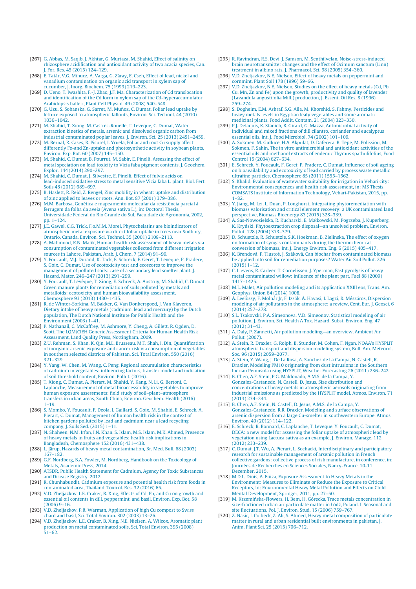- [267] G. Abbas, M. Saqib, J. Akhtar, G. Murtaza, M. Shahid, Effect of salinity on rhizosphere acidification and antioxidant activity of two acacia species, Can. J. For. Res. 45 (2015) 124–129.
- [268] E. Tatár, V.G. Mihucz, A. Varga, G. Záray, E. Cseh, Effect of lead, nickel and vanadium contamination on organic acid transport in xylem sap of
- cucumber, J. Inorg. Biochem. 75 (1999) 219–223. [269] D. Ueno, T. Iwashita, F.-J. Zhao, J.F. Ma, Characterization of Cd translocation and identification of the Cd form in xylem sap of the Cd-hyperaccumulator Arabidopsis halleri, Plant Cell Physiol. 49 (2008) 540–548.
- [270] G. Uzu, S. Sobanska, G. Sarret, M. Muñoz, C. Dumat, Foliar lead uptake by lettuce exposed to atmospheric fallouts, Environ. Sci. Technol. 44 (2010) 1036–1042.
- [271] M. Shahid, T. Xiong, M. Castrec-Rouelle, T. Leveque, C. Dumat, Water extraction kinetics of metals, arsenic and dissolved organic carbon from industrial contaminated poplar leaves, J. Environ. Sci. 25 (2013) 2451–2459.
- [272] M. Bernal, R. Cases, R. Picorel, I. Yruela, Foliar and root Cu supply affect differently Fe-and Zn-uptake and photosynthetic activity in soybean plants, Environ. Exp. Bot. 60 (2007) 145–150.
- [273] M. Shahid, C. Dumat, B. Pourrut, M. Sabir, E. Pinelli, Assessing the effect of metal speciation on lead toxicity to Vicia faba pigment contents, J. Geochem. Explor. 144 (2014) 290–297.
- [274] M. Shahid, C. Dumat, J. Silvestre, E. Pinelli, Effect of fulvic acids on lead-induced oxidative stress to metal sensitive Vicia faba L. plant, Biol. Fert. Soils 48 (2012) 689–697.
- [275] B. Haslett, R. Reid, Z. Rengel, Zinc mobility in wheat: uptake and distribution of zinc applied to leaves or roots, Ann. Bot. 87 (2001) 379–386.
- [276] M.M. Barbosa, Genética e mapeamento molecular da resistência parcial à ferrugem da folha da aveia (Avena sativa L.), in: Doctoral Thesis, Universidade Federal do Rio Grande do Sul, Faculdade de Agronomia, 2002, pp. 1–124.
- [277] J.E. Gawel, C.G. Trick, F.o.M.M. Morel, Phytochelatins are bioindicators of atmospheric metal exposure via direct foliar uptake in trees near Sudbury, Ontario, Canada, Environ. Sci. Technol. 35 (2001) 2108–2113.
- [278] A. Mahmood, R.N. Malik, Human health risk assessment of heavy metals via consumption of contaminated vegetables collected from different irrigation sources in Lahore, Pakistan, Arab. J. Chem. 7 (2014) 91–99.
- [279] Y. Foucault, M.J. Durand, K. Tack, E. Schreck, F. Geret, T. Leveque, P. Pradere, S. Goix, C. Dumat, Use of ecotoxicity test and ecoscores to improve the management of polluted soils: case of a secondary lead smelter plant, J. Hazard. Mater. 246–247 (2013) 291–299.
- [280] Y. Foucault, T. Lévêque, T. Xiong, E. Schreck, A. Austruy, M. Shahid, C. Dumat, Green manure plants for remediation of soils polluted by metals and metalloids: ecotoxicity and human bioavailability assessment, Chemosphere 93 (2013) 1430–1435.
- [281] R. de Winter-Sorkina, M. Bakker, G. Van Donkersgoed, J. Van Klaveren, Dietary intake of heavy metals (cadmium, lead and mercury) by the Dutch population, The Dutch National Institute for Public Health and the Environment (2003) 1–41.
- [282] P. Nathanail, C. McCaffrey, M. Ashmore, Y. Cheng, A. Gillett, R. Ogden, D. Scott, The LQM/CIEH Generic Assessment Criteria for Human Health Risk Assessment, Land Quality Press, Nottingham, 2009.
- [283] Z.U. Rehman, S. Khan, K. Qin, M.L. Brusseau, M.T. Shah, I. Din, Quantification of inorganic arsenic exposure and cancer risk via consumption of vegetables in southern selected districts of Pakistan, Sci. Total Environ. 550 (2016) 321–329.
- [284] Y. Yang, W. Chen, M. Wang, C. Peng, Regional accumulation characteristics of cadmium in vegetables: influencing factors, transfer model and indication of soil threshold content, Environ. Pollut. (2016).
- [285] T. Xiong, C. Dumat, A. Pierart, M. Shahid, Y. Kang, N. Li, G. Bertoni, C. Laplanche, Measurement of metal bioaccessibility in vegetables to improve human exposure assessments: field study of soil–plant–atmosphere transfers in urban areas, South China, Environ. Geochem. Health (2016)
- 1–19. [286] S. Mombo, Y. Foucault, F. Deola, I. Gaillard, S. Goix, M. Shahid, E. Schreck, A. Pierart, C. Dumat, Management of human health risk in the context of kitchen gardens polluted by lead and cadmium near a lead recycling company, J. Soils Sed. (2015) 1–11.
- [287] N. Shaheen, N.M. Irfan, I.N. Khan, S. Islam, M.S. Islam, M.K. Ahmed, Presence of heavy metals in fruits and vegetables: health risk implications in Bangladesh, Chemosphere 152 (2016) 431–438.
- [288] L. Järup, Hazards of heavy metal contamination, Br. Med. Bull. 68 (2003) 167–182.
- [289] G.F. Nordberg, B.A. Fowler, M. Nordberg, Handbook on the Toxicology of Metals, Academic Press, 2014.
- [290] ATSDR, Public Health Statement for Cadmium, Agency for Toxic Substances and Disease Registry, 2012.
- [291] R. Chunhabundit, Cadmium exposure and potential health risk from foods in contaminated area, Thailand, Toxicol. Res. 32 (2016) 65.
- [292] V.D. Zheljazkov, L.E. Craker, B. Xing, Effects of Cd, Pb, and Cu on growth and essential oil contents in dill, peppermint, and basil, Environ. Exp. Bot. 58 (2006) 9–16.
- [293] V.D. Zheljazkov, P.R. Warman, Application of high Cu compost to Swiss chard and basil, Sci. Total Environ. 302 (2003) 13–26.
- [294] V.D. Zheljazkov, L.E. Craker, B. Xing, N.E. Nielsen, A. Wilcox, Aromatic plant production on metal contaminated soils, Sci. Total Environ. 395 (2008)  $51-62$
- [295] R. Ravindran, R.S. Devi, J. Samson, M. Senthilvelan, Noise-stress-induced brain neurotransmitter changes and the effect of Ocimum sanctum (Linn) treatment in albino rats, J. Pharmacol. Sci. 98 (2005) 354–360.
- [296] V.D. Zheljazkov, N.E. Nielsen, Effect of heavy metals on peppermint and cornmint, Plant Soil 178 (1996) 59–66.
- [297] V.D. Zheljazkov, N.E. Nielsen, Studies on the effect of heavy metals (Cd, Pb) Cu, Mn, Zn and Fe) upon the growth, productivity and quality of lavender (Lavandula angustifolia Mill.) production, J. Essent. Oil Res. 8 (1996) 259–274.
- [298] S. Dogheim, E.M. Ashraf, S.G. Alla, M. Khorshid, S. Fahmy, Pesticides and heavy metals levels in Egyptian leafy vegetables and some aromatic medicinal plants, Food Addit. Contam. 21 (2004) 323–330.
- [299] P.J. Delaquis, K. Stanich, B. Girard, G. Mazza, Antimicrobial activity of individual and mixed fractions of dill cilantro, coriander and eucalyptus essential oils, Int. J. Food Microbiol. 74 (2002) 101–109.
- [300] A. Sokmen, M. Gulluce, H.A. Akpulat, D. Daferera, B. Tepe, M. Polissiou, M. Sokmen, F. Sahin, The in vitro antimicrobial and antioxidant activities of the essential oils and methanol extracts of endemic Thymus spathulifolius, Food Control 15 (2004) 627–634.
- [301] E. Schreck, Y. Foucault, F. Geret, P. Pradere, C. Dumat, Influence of soil ageing on bioavailability and ecotoxicity of lead carried by process waste metallic ultrafine particles, Chemosphere 85 (2011) 1555–1562.
- [302] S. Khalid, Evaluation of wastewater suitability for irrigation in Vehari city: Environmental consequences and health risk assessment, in: MS Thesis, COMSATS Institute of Information Technology, Vehari-Pakistan, 2015, pp. 1–82.
- [303] Y. Jiang, M. Lei, L. Duan, P. Longhurst, Integrating phytoremediation with biomass valorisation and critical element recovery: a UK contaminated land perspective, Biomass Bioenergy 83 (2015) 328–339.
- [304] A. Sas-Nowosielska, R. Kucharski, E. Małkowski, M. Pogrzeba, J. Kuperberg, K. Kryński, Phytoextraction crop disposal—an unsolved problem, Environ. Pollut. 128 (2004) 373–379.
- [305] D. Schuetzle, R. Schuetzle, S.K. Hoekman, B. Zielinska, The effect of oxygen on formation of syngas contaminants during the thermochemical
- conversion of biomass, Int. J. Energy Environ. Eng. 6 (2015) 405–417.<br>[306] K. Břendová, P. Tlustoš, J. Száková, Can biochar from contaminated biomass be applied into soil for remediation purposes? Water Air Soil Pollut. 226 (2015) 1–12.
- [307] C. Lievens, R. Carleer, T. Cornelissen, J. Yperman, Fast pyrolysis of heavy metal contaminated willow: influence of the plant part, Fuel 88 (2009) 1417–1425.
- [308] M.L. Malet, Air pollution modeling and its application XXIII eos, Trans. Am. Geophys. Union 64 (2014) 1008.
- [309] Á. Leel"ossy, F. Molnár Jr, F. Izsák, Á. Havasi, I. Lagzi, R. Mészáros, Dispersion modeling of air pollutants in the atmosphere: a review, Cent. Eur. J. Geosci. 6 (2014) 257–278.
- [310] S.L. Tsakovski, P.A. Simeonova, V.D. Simeonov, Statistical modeling of air pollution, J. Environ. Sci. Health A Tox. Hazard. Subst. Environ. Eng. 47  $(2012)$  31–43.
- [311] A. Daly, P. Zannetti, Air pollution modeling—an overview, Ambient Air Pollut. (2007).
- [312] A. Stein, R. Draxler, G. Rolph, B. Stunder, M. Cohen, F. Ngan, NOAA's HYSPLIT atmospheric transport and dispersion modeling system, Bull. Am. Meteorol. Soc. 96 (2015) 2059–2077.
- [313] A. Stein, Y. Wang, J. De La Rosa, A. Sanchez de La Campa, N. Castell, R. Draxler, Modeling PM10 originating from dust intrusions in the Southern Iberian Peninsula using HYSPLIT, Weather Forecasting 26 (2011) 236–242.
- [314] B. Chen, A.F. Stein, P.G. Maldonado, A.M.S. de la Campa, Y. Gonzalez-Castanedo, N. Castell, D. Jesus, Size distribution and concentrations of heavy metals in atmospheric aerosols originating from industrial emissions as predicted by the HYSPLIT model, Atmos. Environ. 71 (2013) 234–244.
- [315] B. Chen, A.F. Stein, N. Castell, D. Jesus, A.M.S. de la Campa, Y. Gonzalez-Castanedo, R.R. Draxler, Modeling and surface observations of arsenic dispersion from a large Cu-smelter in southwestern Europe, Atmos. Environ. 49 (2012) 114–122.
- [316] E. Schreck, R. Bonnard, C. Laplanche, T. Leveque, Y. Foucault, C. Dumat, DECA: a new model for assessing the foliar uptake of atmospheric lead by vegetation using Lactuca sativa as an example, J. Environ. Manage. 112 (2012) 233–239.
- [317] C. Dumat, J.T. Wu, A. Pierart, L. Sochacki, Interdisciplinary and participatory research for sustainable management of arsenic pollution in French collective gardens: collective process of risk manufacture, in conference, in: Journées de Recherches en Sciences Sociales, Nancy-France, 10-11 .<br>December, 2015.
- [318] M.D.L. Dinis, A. Fiúza, Exposure Assessment to Heavy Metals in the Environment: Measures to Eliminate or Reduce the Exposure to Critical Receptors, In: Environmental Heavy Metal Pollution and Effects on Child Mental Development, Springer, 2011, pp. 27–50.
- [319] M. Krzemińska-Flowers, H. Bem, H. Górecka, Trace metals concentration in size-fractioned urban air particulate matter in Łódź, Poland. I. Seasonal and site fluctuations, Pol. J. Environ. Stud. 15 (2006) 759–767.
- [320] Z. Nasir, I. Colbeck, Z. Ali, S. Ahmed, Heavy metal composition of particulate matter in rural and urban residential built environments in pakistan, J. Anim. Plant Sci. 25 (2015) 706–712.